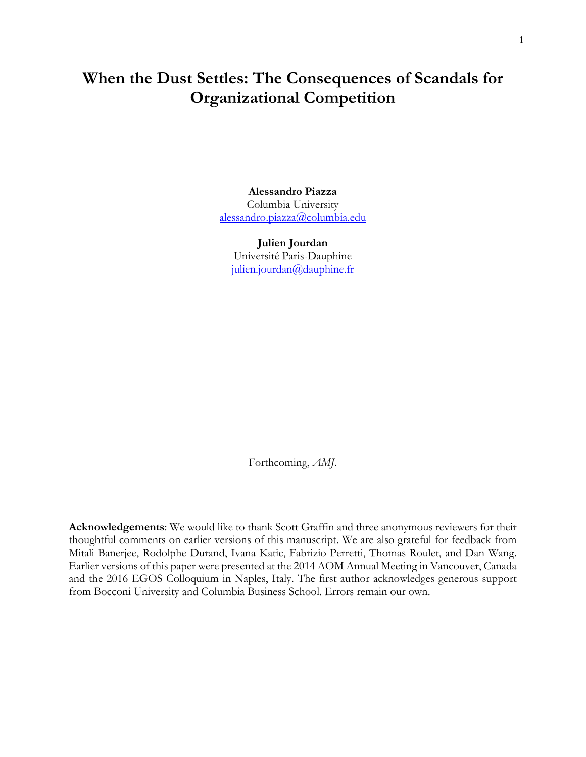# **When the Dust Settles: The Consequences of Scandals for Organizational Competition**

**Alessandro Piazza** Columbia University alessandro.piazza@columbia.edu

**Julien Jourdan** Université Paris-Dauphine julien.jourdan@dauphine.fr

Forthcoming, *AMJ*.

**Acknowledgements**: We would like to thank Scott Graffin and three anonymous reviewers for their thoughtful comments on earlier versions of this manuscript. We are also grateful for feedback from Mitali Banerjee, Rodolphe Durand, Ivana Katic, Fabrizio Perretti, Thomas Roulet, and Dan Wang. Earlier versions of this paper were presented at the 2014 AOM Annual Meeting in Vancouver, Canada and the 2016 EGOS Colloquium in Naples, Italy. The first author acknowledges generous support from Bocconi University and Columbia Business School. Errors remain our own.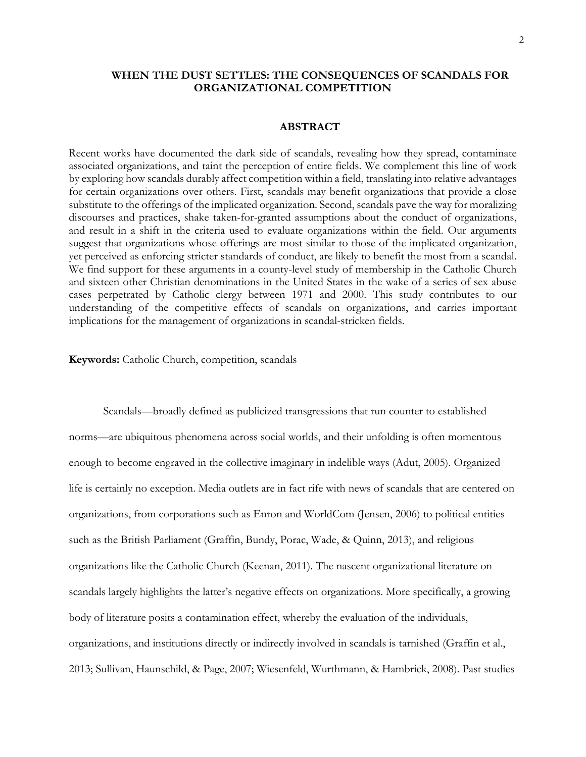# **WHEN THE DUST SETTLES: THE CONSEQUENCES OF SCANDALS FOR ORGANIZATIONAL COMPETITION**

## **ABSTRACT**

Recent works have documented the dark side of scandals, revealing how they spread, contaminate associated organizations, and taint the perception of entire fields. We complement this line of work by exploring how scandals durably affect competition within a field, translating into relative advantages for certain organizations over others. First, scandals may benefit organizations that provide a close substitute to the offerings of the implicated organization. Second, scandals pave the way for moralizing discourses and practices, shake taken-for-granted assumptions about the conduct of organizations, and result in a shift in the criteria used to evaluate organizations within the field. Our arguments suggest that organizations whose offerings are most similar to those of the implicated organization, yet perceived as enforcing stricter standards of conduct, are likely to benefit the most from a scandal. We find support for these arguments in a county-level study of membership in the Catholic Church and sixteen other Christian denominations in the United States in the wake of a series of sex abuse cases perpetrated by Catholic clergy between 1971 and 2000. This study contributes to our understanding of the competitive effects of scandals on organizations, and carries important implications for the management of organizations in scandal-stricken fields.

**Keywords:** Catholic Church, competition, scandals

Scandals—broadly defined as publicized transgressions that run counter to established norms—are ubiquitous phenomena across social worlds, and their unfolding is often momentous enough to become engraved in the collective imaginary in indelible ways (Adut, 2005). Organized life is certainly no exception. Media outlets are in fact rife with news of scandals that are centered on organizations, from corporations such as Enron and WorldCom (Jensen, 2006) to political entities such as the British Parliament (Graffin, Bundy, Porac, Wade, & Quinn, 2013), and religious organizations like the Catholic Church (Keenan, 2011). The nascent organizational literature on scandals largely highlights the latter's negative effects on organizations. More specifically, a growing body of literature posits a contamination effect, whereby the evaluation of the individuals, organizations, and institutions directly or indirectly involved in scandals is tarnished (Graffin et al., 2013; Sullivan, Haunschild, & Page, 2007; Wiesenfeld, Wurthmann, & Hambrick, 2008). Past studies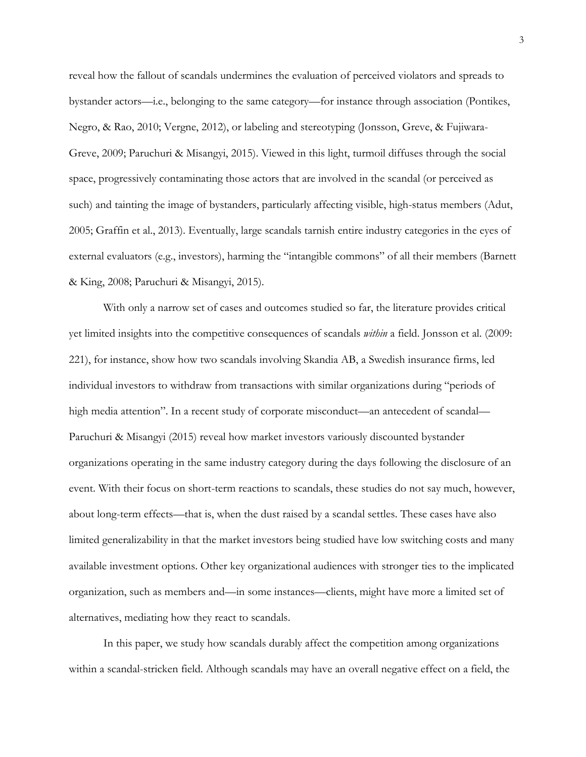reveal how the fallout of scandals undermines the evaluation of perceived violators and spreads to bystander actors—i.e., belonging to the same category—for instance through association (Pontikes, Negro, & Rao, 2010; Vergne, 2012), or labeling and stereotyping (Jonsson, Greve, & Fujiwara-Greve, 2009; Paruchuri & Misangyi, 2015). Viewed in this light, turmoil diffuses through the social space, progressively contaminating those actors that are involved in the scandal (or perceived as such) and tainting the image of bystanders, particularly affecting visible, high-status members (Adut, 2005; Graffin et al., 2013). Eventually, large scandals tarnish entire industry categories in the eyes of external evaluators (e.g., investors), harming the "intangible commons" of all their members (Barnett & King, 2008; Paruchuri & Misangyi, 2015).

With only a narrow set of cases and outcomes studied so far, the literature provides critical yet limited insights into the competitive consequences of scandals *within* a field. Jonsson et al. (2009: 221), for instance, show how two scandals involving Skandia AB, a Swedish insurance firms, led individual investors to withdraw from transactions with similar organizations during "periods of high media attention". In a recent study of corporate misconduct—an antecedent of scandal— Paruchuri & Misangyi (2015) reveal how market investors variously discounted bystander organizations operating in the same industry category during the days following the disclosure of an event. With their focus on short-term reactions to scandals, these studies do not say much, however, about long-term effects—that is, when the dust raised by a scandal settles. These cases have also limited generalizability in that the market investors being studied have low switching costs and many available investment options. Other key organizational audiences with stronger ties to the implicated organization, such as members and—in some instances—clients, might have more a limited set of alternatives, mediating how they react to scandals.

In this paper, we study how scandals durably affect the competition among organizations within a scandal-stricken field. Although scandals may have an overall negative effect on a field, the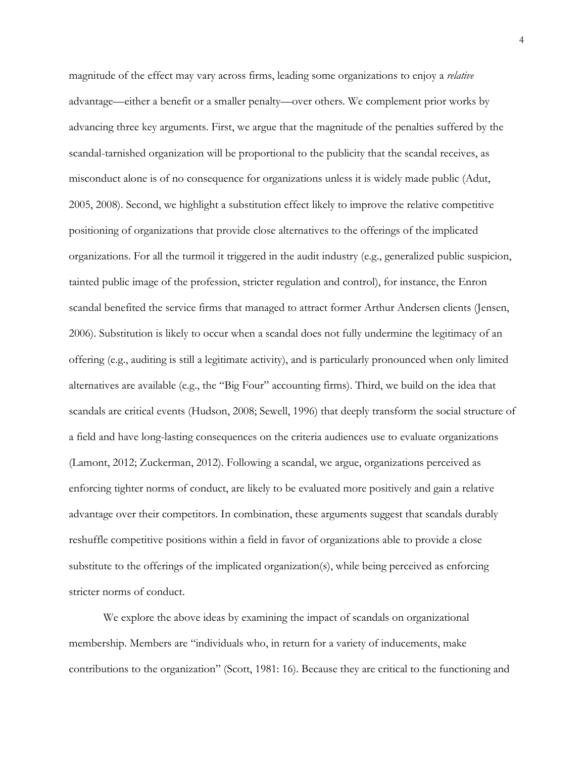magnitude of the effect may vary across firms, leading some organizations to enjoy a *relative* advantage—either a benefit or a smaller penalty—over others. We complement prior works by advancing three key arguments. First, we argue that the magnitude of the penalties suffered by the scandal-tarnished organization will be proportional to the publicity that the scandal receives, as misconduct alone is of no consequence for organizations unless it is widely made public (Adut, 2005, 2008). Second, we highlight a substitution effect likely to improve the relative competitive positioning of organizations that provide close alternatives to the offerings of the implicated organizations. For all the turmoil it triggered in the audit industry (e.g., generalized public suspicion, tainted public image of the profession, stricter regulation and control), for instance, the Enron scandal benefited the service firms that managed to attract former Arthur Andersen clients (Jensen, 2006). Substitution is likely to occur when a scandal does not fully undermine the legitimacy of an offering (e.g., auditing is still a legitimate activity), and is particularly pronounced when only limited alternatives are available (e.g., the "Big Four" accounting firms). Third, we build on the idea that scandals are critical events (Hudson, 2008; Sewell, 1996) that deeply transform the social structure of a field and have long-lasting consequences on the criteria audiences use to evaluate organizations (Lamont, 2012; Zuckerman, 2012). Following a scandal, we argue, organizations perceived as enforcing tighter norms of conduct, are likely to be evaluated more positively and gain a relative advantage over their competitors. In combination, these arguments suggest that scandals durably reshuffle competitive positions within a field in favor of organizations able to provide a close substitute to the offerings of the implicated organization(s), while being perceived as enforcing stricter norms of conduct.

We explore the above ideas by examining the impact of scandals on organizational membership. Members are "individuals who, in return for a variety of inducements, make contributions to the organization" (Scott, 1981: 16). Because they are critical to the functioning and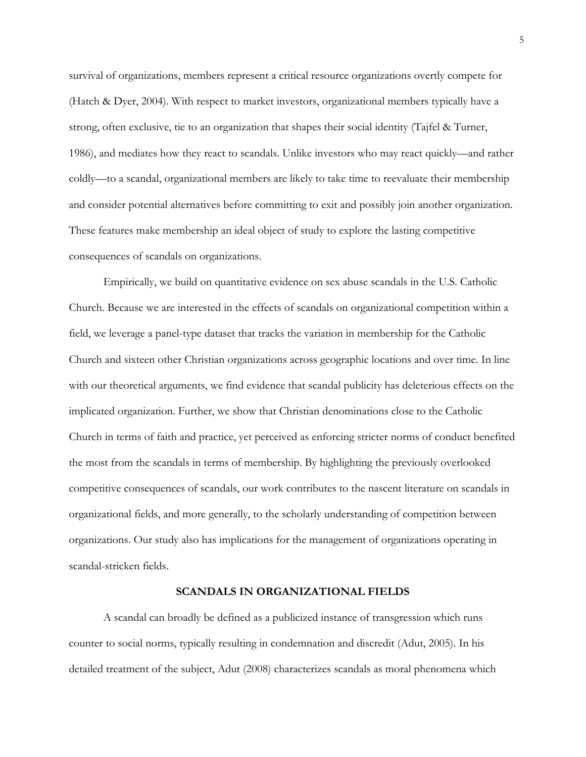survival of organizations, members represent a critical resource organizations overtly compete for (Hatch & Dyer, 2004). With respect to market investors, organizational members typically have a strong, often exclusive, tie to an organization that shapes their social identity (Tajfel & Turner, 1986), and mediates how they react to scandals. Unlike investors who may react quickly—and rather coldly—to a scandal, organizational members are likely to take time to reevaluate their membership and consider potential alternatives before committing to exit and possibly join another organization. These features make membership an ideal object of study to explore the lasting competitive consequences of scandals on organizations.

Empirically, we build on quantitative evidence on sex abuse scandals in the U.S. Catholic Church. Because we are interested in the effects of scandals on organizational competition within a field, we leverage a panel-type dataset that tracks the variation in membership for the Catholic Church and sixteen other Christian organizations across geographic locations and over time. In line with our theoretical arguments, we find evidence that scandal publicity has deleterious effects on the implicated organization. Further, we show that Christian denominations close to the Catholic Church in terms of faith and practice, yet perceived as enforcing stricter norms of conduct benefited the most from the scandals in terms of membership. By highlighting the previously overlooked competitive consequences of scandals, our work contributes to the nascent literature on scandals in organizational fields, and more generally, to the scholarly understanding of competition between organizations. Our study also has implications for the management of organizations operating in scandal-stricken fields.

## **SCANDALS IN ORGANIZATIONAL FIELDS**

A scandal can broadly be defined as a publicized instance of transgression which runs counter to social norms, typically resulting in condemnation and discredit (Adut, 2005). In his detailed treatment of the subject, Adut (2008) characterizes scandals as moral phenomena which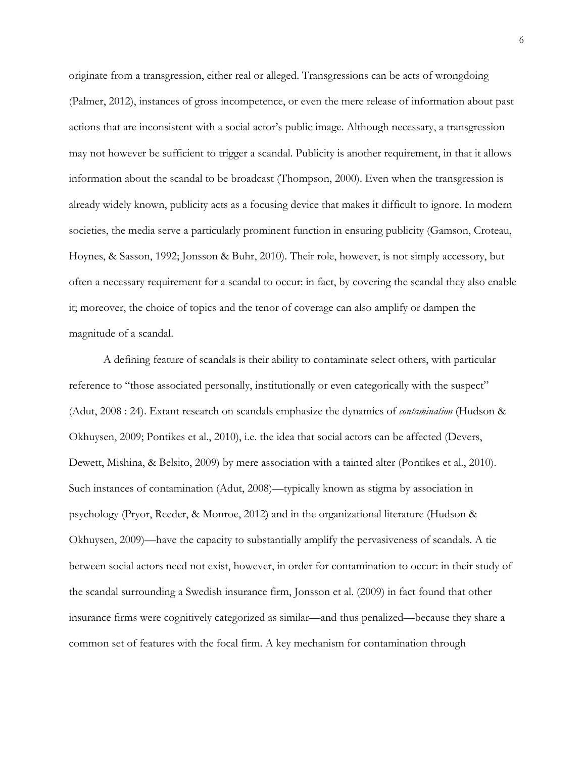originate from a transgression, either real or alleged. Transgressions can be acts of wrongdoing (Palmer, 2012), instances of gross incompetence, or even the mere release of information about past actions that are inconsistent with a social actor's public image. Although necessary, a transgression may not however be sufficient to trigger a scandal. Publicity is another requirement, in that it allows information about the scandal to be broadcast (Thompson, 2000). Even when the transgression is already widely known, publicity acts as a focusing device that makes it difficult to ignore. In modern societies, the media serve a particularly prominent function in ensuring publicity (Gamson, Croteau, Hoynes, & Sasson, 1992; Jonsson & Buhr, 2010). Their role, however, is not simply accessory, but often a necessary requirement for a scandal to occur: in fact, by covering the scandal they also enable it; moreover, the choice of topics and the tenor of coverage can also amplify or dampen the magnitude of a scandal.

A defining feature of scandals is their ability to contaminate select others, with particular reference to "those associated personally, institutionally or even categorically with the suspect" (Adut, 2008 : 24). Extant research on scandals emphasize the dynamics of *contamination* (Hudson & Okhuysen, 2009; Pontikes et al., 2010), i.e. the idea that social actors can be affected (Devers, Dewett, Mishina, & Belsito, 2009) by mere association with a tainted alter (Pontikes et al., 2010). Such instances of contamination (Adut, 2008)—typically known as stigma by association in psychology (Pryor, Reeder, & Monroe, 2012) and in the organizational literature (Hudson & Okhuysen, 2009)—have the capacity to substantially amplify the pervasiveness of scandals. A tie between social actors need not exist, however, in order for contamination to occur: in their study of the scandal surrounding a Swedish insurance firm, Jonsson et al. (2009) in fact found that other insurance firms were cognitively categorized as similar—and thus penalized—because they share a common set of features with the focal firm. A key mechanism for contamination through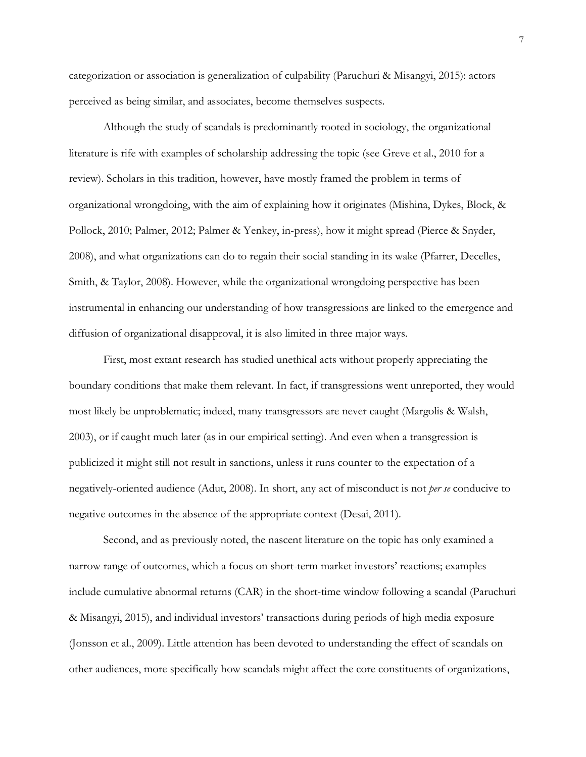categorization or association is generalization of culpability (Paruchuri & Misangyi, 2015): actors perceived as being similar, and associates, become themselves suspects.

Although the study of scandals is predominantly rooted in sociology, the organizational literature is rife with examples of scholarship addressing the topic (see Greve et al., 2010 for a review). Scholars in this tradition, however, have mostly framed the problem in terms of organizational wrongdoing, with the aim of explaining how it originates (Mishina, Dykes, Block, & Pollock, 2010; Palmer, 2012; Palmer & Yenkey, in-press), how it might spread (Pierce & Snyder, 2008), and what organizations can do to regain their social standing in its wake (Pfarrer, Decelles, Smith, & Taylor, 2008). However, while the organizational wrongdoing perspective has been instrumental in enhancing our understanding of how transgressions are linked to the emergence and diffusion of organizational disapproval, it is also limited in three major ways.

First, most extant research has studied unethical acts without properly appreciating the boundary conditions that make them relevant. In fact, if transgressions went unreported, they would most likely be unproblematic; indeed, many transgressors are never caught (Margolis & Walsh, 2003), or if caught much later (as in our empirical setting). And even when a transgression is publicized it might still not result in sanctions, unless it runs counter to the expectation of a negatively-oriented audience (Adut, 2008). In short, any act of misconduct is not *per se* conducive to negative outcomes in the absence of the appropriate context (Desai, 2011).

Second, and as previously noted, the nascent literature on the topic has only examined a narrow range of outcomes, which a focus on short-term market investors' reactions; examples include cumulative abnormal returns (CAR) in the short-time window following a scandal (Paruchuri & Misangyi, 2015), and individual investors' transactions during periods of high media exposure (Jonsson et al., 2009). Little attention has been devoted to understanding the effect of scandals on other audiences, more specifically how scandals might affect the core constituents of organizations,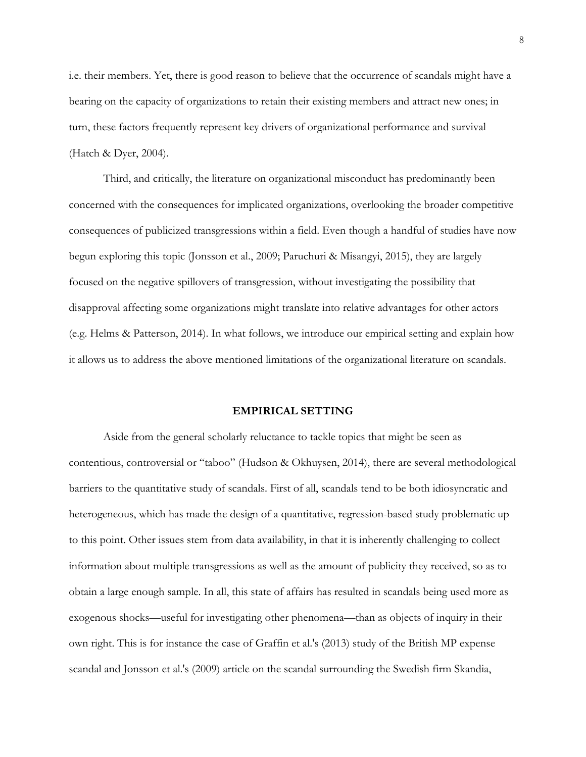i.e. their members. Yet, there is good reason to believe that the occurrence of scandals might have a bearing on the capacity of organizations to retain their existing members and attract new ones; in turn, these factors frequently represent key drivers of organizational performance and survival (Hatch & Dyer, 2004).

Third, and critically, the literature on organizational misconduct has predominantly been concerned with the consequences for implicated organizations, overlooking the broader competitive consequences of publicized transgressions within a field. Even though a handful of studies have now begun exploring this topic (Jonsson et al., 2009; Paruchuri & Misangyi, 2015), they are largely focused on the negative spillovers of transgression, without investigating the possibility that disapproval affecting some organizations might translate into relative advantages for other actors (e.g. Helms & Patterson, 2014). In what follows, we introduce our empirical setting and explain how it allows us to address the above mentioned limitations of the organizational literature on scandals.

## **EMPIRICAL SETTING**

Aside from the general scholarly reluctance to tackle topics that might be seen as contentious, controversial or "taboo" (Hudson & Okhuysen, 2014), there are several methodological barriers to the quantitative study of scandals. First of all, scandals tend to be both idiosyncratic and heterogeneous, which has made the design of a quantitative, regression-based study problematic up to this point. Other issues stem from data availability, in that it is inherently challenging to collect information about multiple transgressions as well as the amount of publicity they received, so as to obtain a large enough sample. In all, this state of affairs has resulted in scandals being used more as exogenous shocks—useful for investigating other phenomena—than as objects of inquiry in their own right. This is for instance the case of Graffin et al.'s (2013) study of the British MP expense scandal and Jonsson et al.'s (2009) article on the scandal surrounding the Swedish firm Skandia,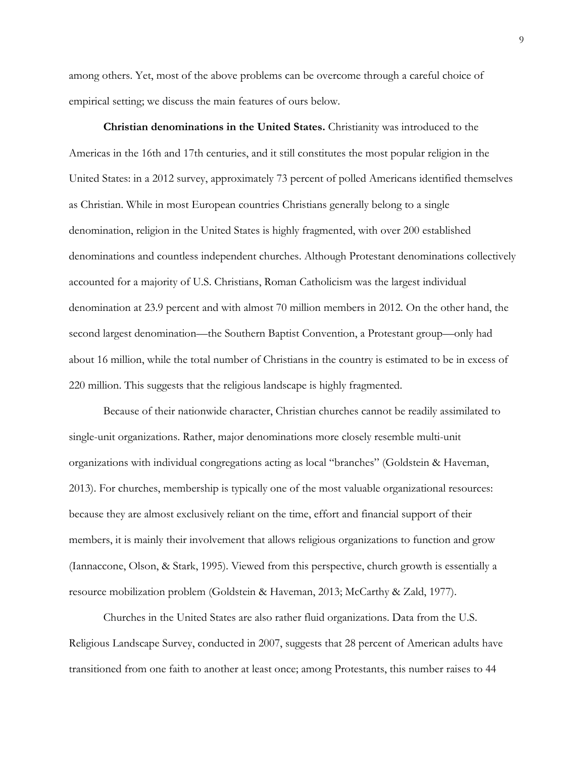among others. Yet, most of the above problems can be overcome through a careful choice of empirical setting; we discuss the main features of ours below.

**Christian denominations in the United States.** Christianity was introduced to the Americas in the 16th and 17th centuries, and it still constitutes the most popular religion in the United States: in a 2012 survey, approximately 73 percent of polled Americans identified themselves as Christian. While in most European countries Christians generally belong to a single denomination, religion in the United States is highly fragmented, with over 200 established denominations and countless independent churches. Although Protestant denominations collectively accounted for a majority of U.S. Christians, Roman Catholicism was the largest individual denomination at 23.9 percent and with almost 70 million members in 2012. On the other hand, the second largest denomination—the Southern Baptist Convention, a Protestant group—only had about 16 million, while the total number of Christians in the country is estimated to be in excess of 220 million. This suggests that the religious landscape is highly fragmented.

Because of their nationwide character, Christian churches cannot be readily assimilated to single-unit organizations. Rather, major denominations more closely resemble multi-unit organizations with individual congregations acting as local "branches" (Goldstein & Haveman, 2013). For churches, membership is typically one of the most valuable organizational resources: because they are almost exclusively reliant on the time, effort and financial support of their members, it is mainly their involvement that allows religious organizations to function and grow (Iannaccone, Olson, & Stark, 1995). Viewed from this perspective, church growth is essentially a resource mobilization problem (Goldstein & Haveman, 2013; McCarthy & Zald, 1977).

Churches in the United States are also rather fluid organizations. Data from the U.S. Religious Landscape Survey, conducted in 2007, suggests that 28 percent of American adults have transitioned from one faith to another at least once; among Protestants, this number raises to 44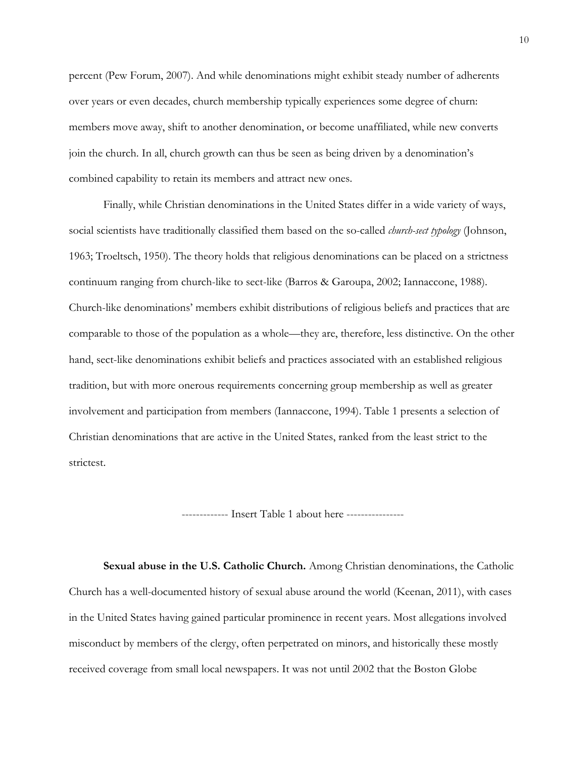percent (Pew Forum, 2007). And while denominations might exhibit steady number of adherents over years or even decades, church membership typically experiences some degree of churn: members move away, shift to another denomination, or become unaffiliated, while new converts join the church. In all, church growth can thus be seen as being driven by a denomination's combined capability to retain its members and attract new ones.

Finally, while Christian denominations in the United States differ in a wide variety of ways, social scientists have traditionally classified them based on the so-called *church-sect typology* (Johnson, 1963; Troeltsch, 1950). The theory holds that religious denominations can be placed on a strictness continuum ranging from church-like to sect-like (Barros & Garoupa, 2002; Iannaccone, 1988). Church-like denominations' members exhibit distributions of religious beliefs and practices that are comparable to those of the population as a whole—they are, therefore, less distinctive. On the other hand, sect-like denominations exhibit beliefs and practices associated with an established religious tradition, but with more onerous requirements concerning group membership as well as greater involvement and participation from members (Iannaccone, 1994). Table 1 presents a selection of Christian denominations that are active in the United States, ranked from the least strict to the strictest.

------------- Insert Table 1 about here ----------------

**Sexual abuse in the U.S. Catholic Church.** Among Christian denominations, the Catholic Church has a well-documented history of sexual abuse around the world (Keenan, 2011), with cases in the United States having gained particular prominence in recent years. Most allegations involved misconduct by members of the clergy, often perpetrated on minors, and historically these mostly received coverage from small local newspapers. It was not until 2002 that the Boston Globe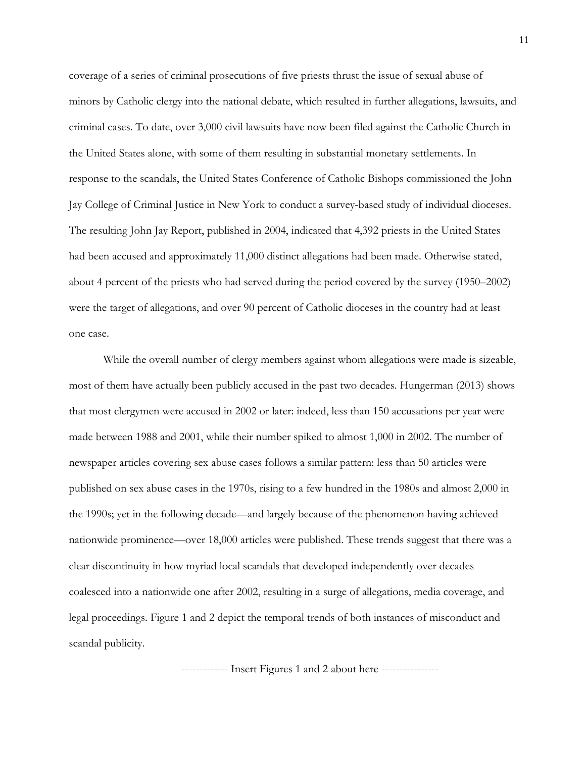coverage of a series of criminal prosecutions of five priests thrust the issue of sexual abuse of minors by Catholic clergy into the national debate, which resulted in further allegations, lawsuits, and criminal cases. To date, over 3,000 civil lawsuits have now been filed against the Catholic Church in the United States alone, with some of them resulting in substantial monetary settlements. In response to the scandals, the United States Conference of Catholic Bishops commissioned the John Jay College of Criminal Justice in New York to conduct a survey-based study of individual dioceses. The resulting John Jay Report, published in 2004, indicated that 4,392 priests in the United States had been accused and approximately 11,000 distinct allegations had been made. Otherwise stated, about 4 percent of the priests who had served during the period covered by the survey (1950–2002) were the target of allegations, and over 90 percent of Catholic dioceses in the country had at least one case.

While the overall number of clergy members against whom allegations were made is sizeable, most of them have actually been publicly accused in the past two decades. Hungerman (2013) shows that most clergymen were accused in 2002 or later: indeed, less than 150 accusations per year were made between 1988 and 2001, while their number spiked to almost 1,000 in 2002. The number of newspaper articles covering sex abuse cases follows a similar pattern: less than 50 articles were published on sex abuse cases in the 1970s, rising to a few hundred in the 1980s and almost 2,000 in the 1990s; yet in the following decade—and largely because of the phenomenon having achieved nationwide prominence—over 18,000 articles were published. These trends suggest that there was a clear discontinuity in how myriad local scandals that developed independently over decades coalesced into a nationwide one after 2002, resulting in a surge of allegations, media coverage, and legal proceedings. Figure 1 and 2 depict the temporal trends of both instances of misconduct and scandal publicity.

------------- Insert Figures 1 and 2 about here ----------------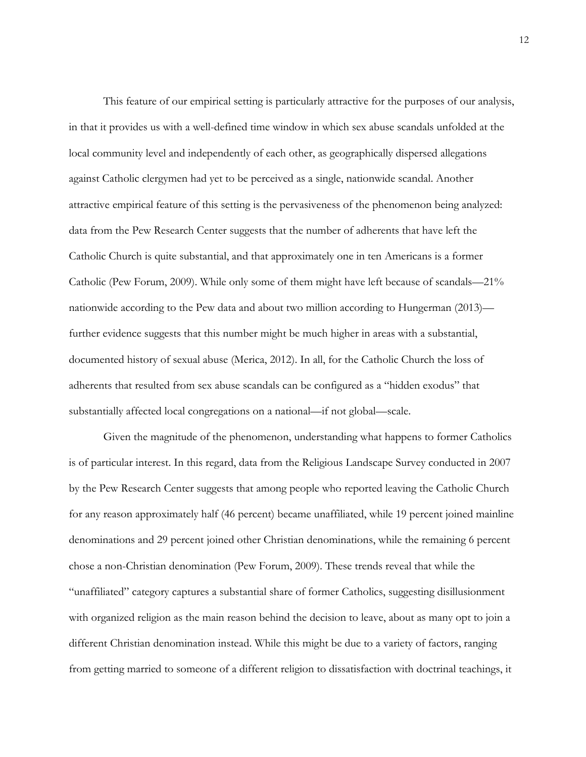This feature of our empirical setting is particularly attractive for the purposes of our analysis, in that it provides us with a well-defined time window in which sex abuse scandals unfolded at the local community level and independently of each other, as geographically dispersed allegations against Catholic clergymen had yet to be perceived as a single, nationwide scandal. Another attractive empirical feature of this setting is the pervasiveness of the phenomenon being analyzed: data from the Pew Research Center suggests that the number of adherents that have left the Catholic Church is quite substantial, and that approximately one in ten Americans is a former Catholic (Pew Forum, 2009). While only some of them might have left because of scandals—21% nationwide according to the Pew data and about two million according to Hungerman (2013) further evidence suggests that this number might be much higher in areas with a substantial, documented history of sexual abuse (Merica, 2012). In all, for the Catholic Church the loss of adherents that resulted from sex abuse scandals can be configured as a "hidden exodus" that substantially affected local congregations on a national—if not global—scale.

Given the magnitude of the phenomenon, understanding what happens to former Catholics is of particular interest. In this regard, data from the Religious Landscape Survey conducted in 2007 by the Pew Research Center suggests that among people who reported leaving the Catholic Church for any reason approximately half (46 percent) became unaffiliated, while 19 percent joined mainline denominations and 29 percent joined other Christian denominations, while the remaining 6 percent chose a non-Christian denomination (Pew Forum, 2009). These trends reveal that while the "unaffiliated" category captures a substantial share of former Catholics, suggesting disillusionment with organized religion as the main reason behind the decision to leave, about as many opt to join a different Christian denomination instead. While this might be due to a variety of factors, ranging from getting married to someone of a different religion to dissatisfaction with doctrinal teachings, it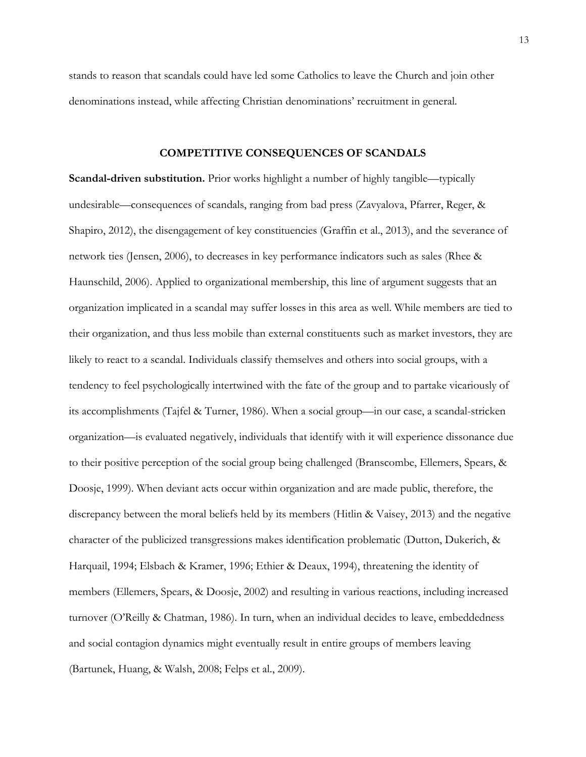stands to reason that scandals could have led some Catholics to leave the Church and join other denominations instead, while affecting Christian denominations' recruitment in general.

#### **COMPETITIVE CONSEQUENCES OF SCANDALS**

**Scandal-driven substitution.** Prior works highlight a number of highly tangible—typically undesirable—consequences of scandals, ranging from bad press (Zavyalova, Pfarrer, Reger, & Shapiro, 2012), the disengagement of key constituencies (Graffin et al., 2013), and the severance of network ties (Jensen, 2006), to decreases in key performance indicators such as sales (Rhee & Haunschild, 2006). Applied to organizational membership, this line of argument suggests that an organization implicated in a scandal may suffer losses in this area as well. While members are tied to their organization, and thus less mobile than external constituents such as market investors, they are likely to react to a scandal. Individuals classify themselves and others into social groups, with a tendency to feel psychologically intertwined with the fate of the group and to partake vicariously of its accomplishments (Tajfel & Turner, 1986). When a social group—in our case, a scandal-stricken organization—is evaluated negatively, individuals that identify with it will experience dissonance due to their positive perception of the social group being challenged (Branscombe, Ellemers, Spears, & Doosje, 1999). When deviant acts occur within organization and are made public, therefore, the discrepancy between the moral beliefs held by its members (Hitlin & Vaisey, 2013) and the negative character of the publicized transgressions makes identification problematic (Dutton, Dukerich, & Harquail, 1994; Elsbach & Kramer, 1996; Ethier & Deaux, 1994), threatening the identity of members (Ellemers, Spears, & Doosje, 2002) and resulting in various reactions, including increased turnover (O'Reilly & Chatman, 1986). In turn, when an individual decides to leave, embeddedness and social contagion dynamics might eventually result in entire groups of members leaving (Bartunek, Huang, & Walsh, 2008; Felps et al., 2009).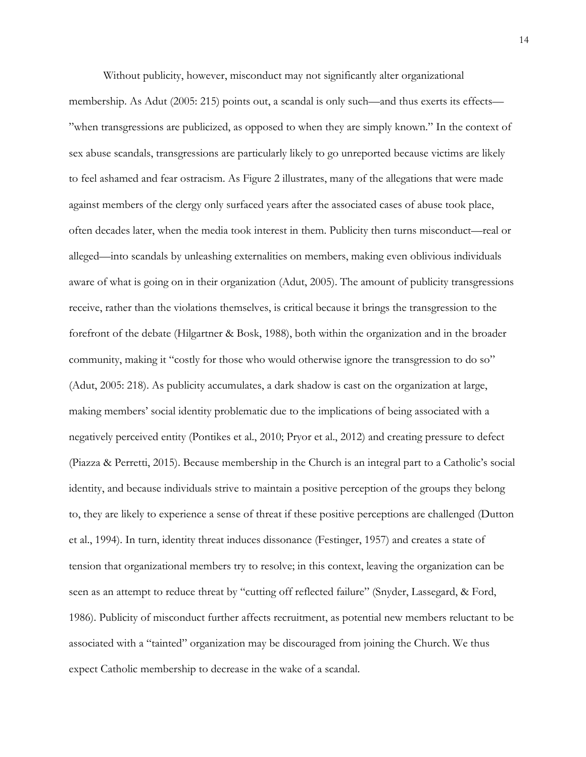Without publicity, however, misconduct may not significantly alter organizational membership. As Adut (2005: 215) points out, a scandal is only such—and thus exerts its effects— "when transgressions are publicized, as opposed to when they are simply known." In the context of sex abuse scandals, transgressions are particularly likely to go unreported because victims are likely to feel ashamed and fear ostracism. As Figure 2 illustrates, many of the allegations that were made against members of the clergy only surfaced years after the associated cases of abuse took place, often decades later, when the media took interest in them. Publicity then turns misconduct—real or alleged—into scandals by unleashing externalities on members, making even oblivious individuals aware of what is going on in their organization (Adut, 2005). The amount of publicity transgressions receive, rather than the violations themselves, is critical because it brings the transgression to the forefront of the debate (Hilgartner & Bosk, 1988), both within the organization and in the broader community, making it "costly for those who would otherwise ignore the transgression to do so" (Adut, 2005: 218). As publicity accumulates, a dark shadow is cast on the organization at large, making members' social identity problematic due to the implications of being associated with a negatively perceived entity (Pontikes et al., 2010; Pryor et al., 2012) and creating pressure to defect (Piazza & Perretti, 2015). Because membership in the Church is an integral part to a Catholic's social identity, and because individuals strive to maintain a positive perception of the groups they belong to, they are likely to experience a sense of threat if these positive perceptions are challenged (Dutton et al., 1994). In turn, identity threat induces dissonance (Festinger, 1957) and creates a state of tension that organizational members try to resolve; in this context, leaving the organization can be seen as an attempt to reduce threat by "cutting off reflected failure" (Snyder, Lassegard, & Ford, 1986). Publicity of misconduct further affects recruitment, as potential new members reluctant to be associated with a "tainted" organization may be discouraged from joining the Church. We thus expect Catholic membership to decrease in the wake of a scandal.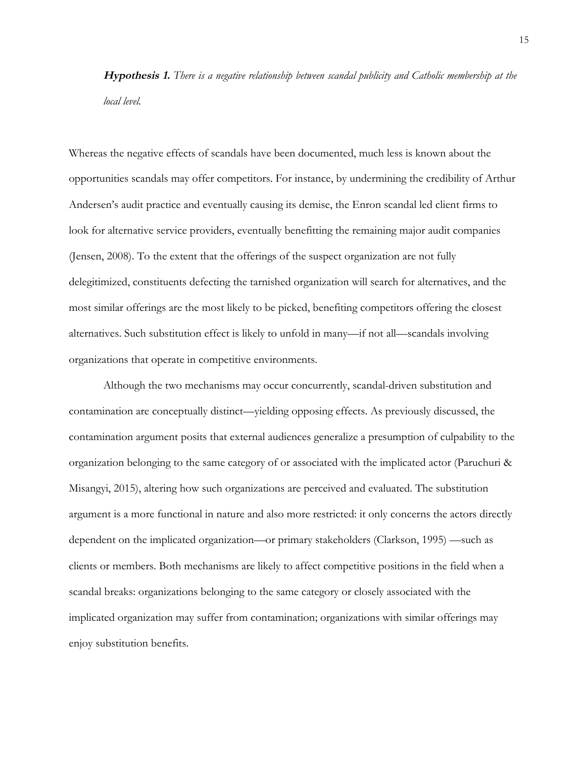**Hypothesis 1.** *There is a negative relationship between scandal publicity and Catholic membership at the local level.*

Whereas the negative effects of scandals have been documented, much less is known about the opportunities scandals may offer competitors. For instance, by undermining the credibility of Arthur Andersen's audit practice and eventually causing its demise, the Enron scandal led client firms to look for alternative service providers, eventually benefitting the remaining major audit companies (Jensen, 2008). To the extent that the offerings of the suspect organization are not fully delegitimized, constituents defecting the tarnished organization will search for alternatives, and the most similar offerings are the most likely to be picked, benefiting competitors offering the closest alternatives. Such substitution effect is likely to unfold in many—if not all—scandals involving organizations that operate in competitive environments.

Although the two mechanisms may occur concurrently, scandal-driven substitution and contamination are conceptually distinct—yielding opposing effects. As previously discussed, the contamination argument posits that external audiences generalize a presumption of culpability to the organization belonging to the same category of or associated with the implicated actor (Paruchuri & Misangyi, 2015), altering how such organizations are perceived and evaluated. The substitution argument is a more functional in nature and also more restricted: it only concerns the actors directly dependent on the implicated organization—or primary stakeholders (Clarkson, 1995) —such as clients or members. Both mechanisms are likely to affect competitive positions in the field when a scandal breaks: organizations belonging to the same category or closely associated with the implicated organization may suffer from contamination; organizations with similar offerings may enjoy substitution benefits.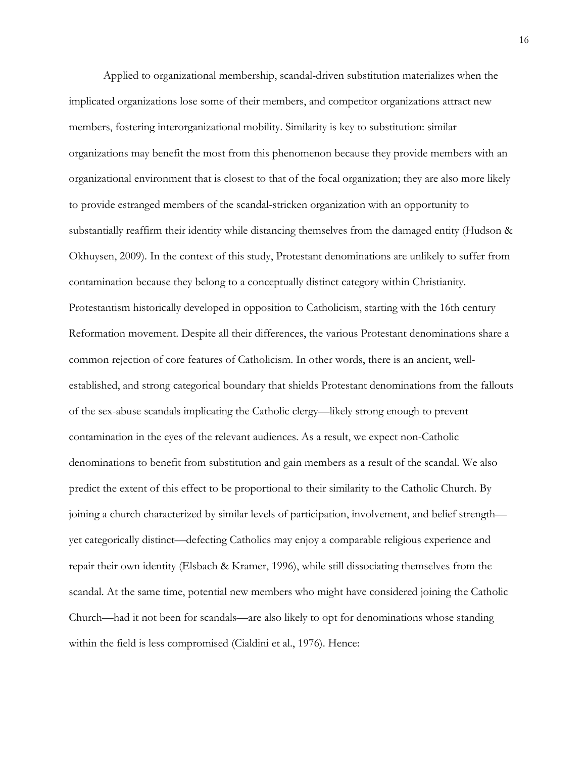Applied to organizational membership, scandal-driven substitution materializes when the implicated organizations lose some of their members, and competitor organizations attract new members, fostering interorganizational mobility. Similarity is key to substitution: similar organizations may benefit the most from this phenomenon because they provide members with an organizational environment that is closest to that of the focal organization; they are also more likely to provide estranged members of the scandal-stricken organization with an opportunity to substantially reaffirm their identity while distancing themselves from the damaged entity (Hudson & Okhuysen, 2009). In the context of this study, Protestant denominations are unlikely to suffer from contamination because they belong to a conceptually distinct category within Christianity. Protestantism historically developed in opposition to Catholicism, starting with the 16th century Reformation movement. Despite all their differences, the various Protestant denominations share a common rejection of core features of Catholicism. In other words, there is an ancient, wellestablished, and strong categorical boundary that shields Protestant denominations from the fallouts of the sex-abuse scandals implicating the Catholic clergy—likely strong enough to prevent contamination in the eyes of the relevant audiences. As a result, we expect non-Catholic denominations to benefit from substitution and gain members as a result of the scandal. We also predict the extent of this effect to be proportional to their similarity to the Catholic Church. By joining a church characterized by similar levels of participation, involvement, and belief strength yet categorically distinct—defecting Catholics may enjoy a comparable religious experience and repair their own identity (Elsbach & Kramer, 1996), while still dissociating themselves from the scandal. At the same time, potential new members who might have considered joining the Catholic Church—had it not been for scandals—are also likely to opt for denominations whose standing within the field is less compromised (Cialdini et al., 1976). Hence: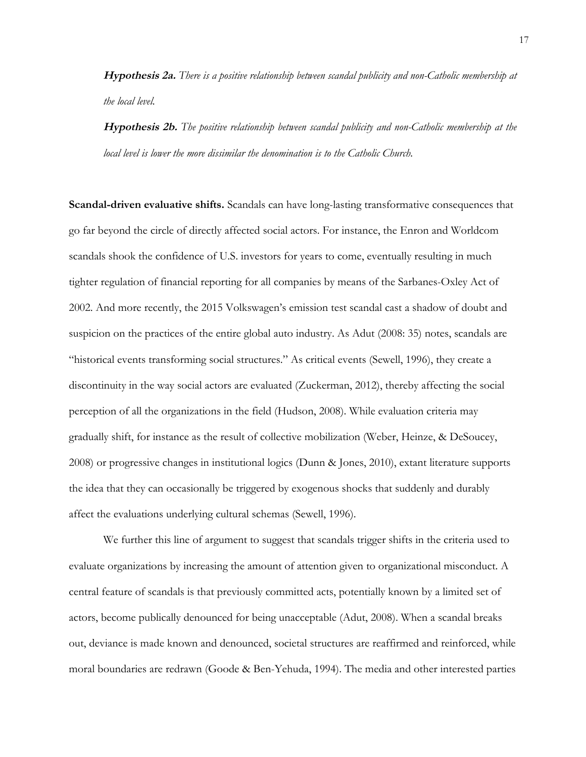**Hypothesis 2a.** *There is a positive relationship between scandal publicity and non-Catholic membership at the local level.*

**Hypothesis 2b.** *The positive relationship between scandal publicity and non-Catholic membership at the local level is lower the more dissimilar the denomination is to the Catholic Church.*

**Scandal-driven evaluative shifts.** Scandals can have long-lasting transformative consequences that go far beyond the circle of directly affected social actors. For instance, the Enron and Worldcom scandals shook the confidence of U.S. investors for years to come, eventually resulting in much tighter regulation of financial reporting for all companies by means of the Sarbanes-Oxley Act of 2002. And more recently, the 2015 Volkswagen's emission test scandal cast a shadow of doubt and suspicion on the practices of the entire global auto industry. As Adut (2008: 35) notes, scandals are "historical events transforming social structures." As critical events (Sewell, 1996), they create a discontinuity in the way social actors are evaluated (Zuckerman, 2012), thereby affecting the social perception of all the organizations in the field (Hudson, 2008). While evaluation criteria may gradually shift, for instance as the result of collective mobilization (Weber, Heinze, & DeSoucey, 2008) or progressive changes in institutional logics (Dunn & Jones, 2010), extant literature supports the idea that they can occasionally be triggered by exogenous shocks that suddenly and durably affect the evaluations underlying cultural schemas (Sewell, 1996).

We further this line of argument to suggest that scandals trigger shifts in the criteria used to evaluate organizations by increasing the amount of attention given to organizational misconduct. A central feature of scandals is that previously committed acts, potentially known by a limited set of actors, become publically denounced for being unacceptable (Adut, 2008). When a scandal breaks out, deviance is made known and denounced, societal structures are reaffirmed and reinforced, while moral boundaries are redrawn (Goode & Ben-Yehuda, 1994). The media and other interested parties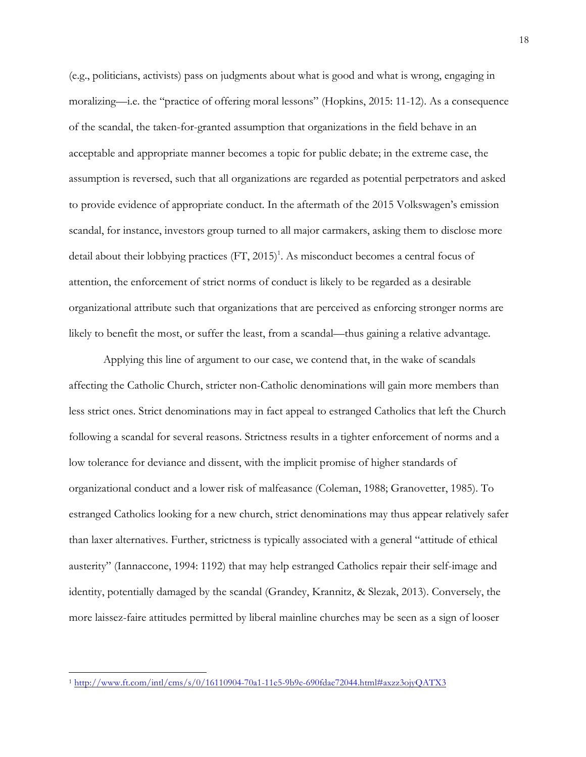(e.g., politicians, activists) pass on judgments about what is good and what is wrong, engaging in moralizing—i.e. the "practice of offering moral lessons" (Hopkins, 2015: 11-12). As a consequence of the scandal, the taken-for-granted assumption that organizations in the field behave in an acceptable and appropriate manner becomes a topic for public debate; in the extreme case, the assumption is reversed, such that all organizations are regarded as potential perpetrators and asked to provide evidence of appropriate conduct. In the aftermath of the 2015 Volkswagen's emission scandal, for instance, investors group turned to all major carmakers, asking them to disclose more detail about their lobbying practices  $(FT, 2015)^1$ . As misconduct becomes a central focus of attention, the enforcement of strict norms of conduct is likely to be regarded as a desirable organizational attribute such that organizations that are perceived as enforcing stronger norms are likely to benefit the most, or suffer the least, from a scandal—thus gaining a relative advantage.

Applying this line of argument to our case, we contend that, in the wake of scandals affecting the Catholic Church, stricter non-Catholic denominations will gain more members than less strict ones. Strict denominations may in fact appeal to estranged Catholics that left the Church following a scandal for several reasons. Strictness results in a tighter enforcement of norms and a low tolerance for deviance and dissent, with the implicit promise of higher standards of organizational conduct and a lower risk of malfeasance (Coleman, 1988; Granovetter, 1985). To estranged Catholics looking for a new church, strict denominations may thus appear relatively safer than laxer alternatives. Further, strictness is typically associated with a general "attitude of ethical austerity" (Iannaccone, 1994: 1192) that may help estranged Catholics repair their self-image and identity, potentially damaged by the scandal (Grandey, Krannitz, & Slezak, 2013). Conversely, the more laissez-faire attitudes permitted by liberal mainline churches may be seen as a sign of looser

 

<sup>1</sup> http://www.ft.com/intl/cms/s/0/16110904-70a1-11e5-9b9e-690fdae72044.html#axzz3ojyQATX3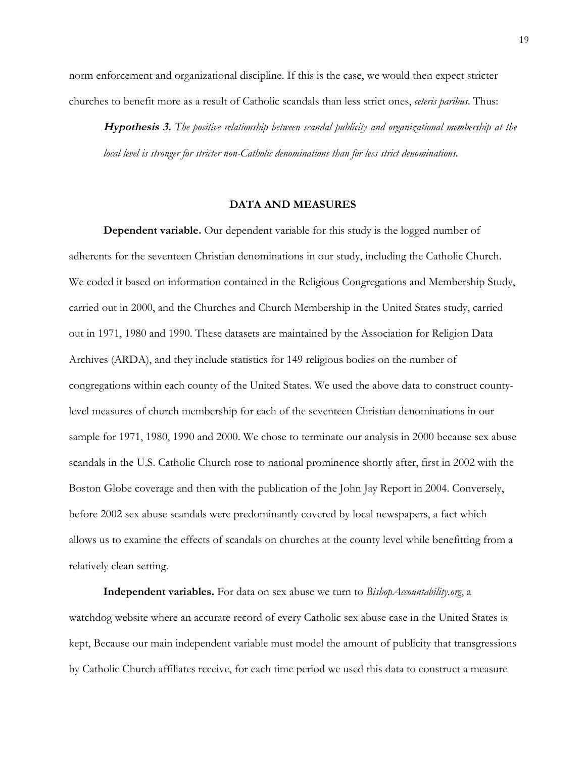norm enforcement and organizational discipline. If this is the case, we would then expect stricter churches to benefit more as a result of Catholic scandals than less strict ones, *ceteris paribus*. Thus:

**Hypothesis 3.** *The positive relationship between scandal publicity and organizational membership at the local level is stronger for stricter non-Catholic denominations than for less strict denominations.*

### **DATA AND MEASURES**

**Dependent variable.** Our dependent variable for this study is the logged number of adherents for the seventeen Christian denominations in our study, including the Catholic Church. We coded it based on information contained in the Religious Congregations and Membership Study, carried out in 2000, and the Churches and Church Membership in the United States study, carried out in 1971, 1980 and 1990. These datasets are maintained by the Association for Religion Data Archives (ARDA), and they include statistics for 149 religious bodies on the number of congregations within each county of the United States. We used the above data to construct countylevel measures of church membership for each of the seventeen Christian denominations in our sample for 1971, 1980, 1990 and 2000. We chose to terminate our analysis in 2000 because sex abuse scandals in the U.S. Catholic Church rose to national prominence shortly after, first in 2002 with the Boston Globe coverage and then with the publication of the John Jay Report in 2004. Conversely, before 2002 sex abuse scandals were predominantly covered by local newspapers, a fact which allows us to examine the effects of scandals on churches at the county level while benefitting from a relatively clean setting.

**Independent variables.** For data on sex abuse we turn to *BishopAccountability.org*, a watchdog website where an accurate record of every Catholic sex abuse case in the United States is kept, Because our main independent variable must model the amount of publicity that transgressions by Catholic Church affiliates receive, for each time period we used this data to construct a measure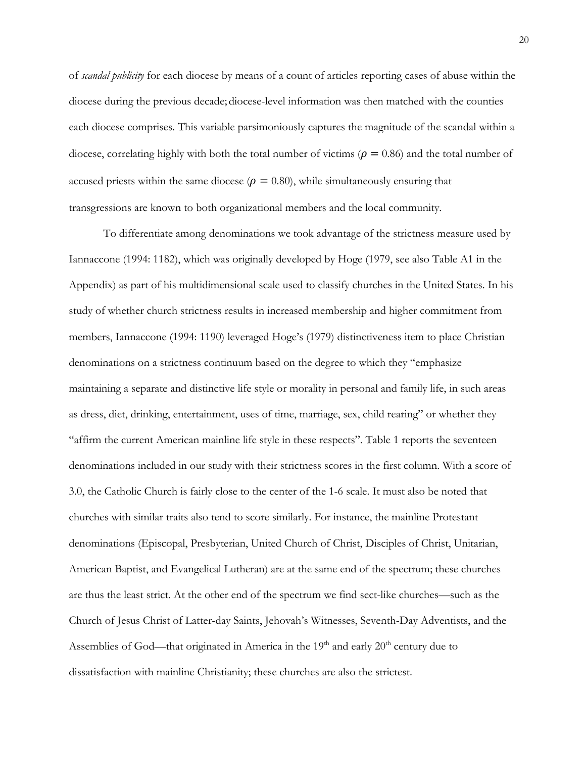of *scandal publicity* for each diocese by means of a count of articles reporting cases of abuse within the diocese during the previous decade; diocese-level information was then matched with the counties each diocese comprises. This variable parsimoniously captures the magnitude of the scandal within a diocese, correlating highly with both the total number of victims ( $\rho = 0.86$ ) and the total number of accused priests within the same diocese ( $\rho = 0.80$ ), while simultaneously ensuring that transgressions are known to both organizational members and the local community.

To differentiate among denominations we took advantage of the strictness measure used by Iannaccone (1994: 1182), which was originally developed by Hoge (1979, see also Table A1 in the Appendix) as part of his multidimensional scale used to classify churches in the United States. In his study of whether church strictness results in increased membership and higher commitment from members, Iannaccone (1994: 1190) leveraged Hoge's (1979) distinctiveness item to place Christian denominations on a strictness continuum based on the degree to which they "emphasize maintaining a separate and distinctive life style or morality in personal and family life, in such areas as dress, diet, drinking, entertainment, uses of time, marriage, sex, child rearing" or whether they "affirm the current American mainline life style in these respects". Table 1 reports the seventeen denominations included in our study with their strictness scores in the first column. With a score of 3.0, the Catholic Church is fairly close to the center of the 1-6 scale. It must also be noted that churches with similar traits also tend to score similarly. For instance, the mainline Protestant denominations (Episcopal, Presbyterian, United Church of Christ, Disciples of Christ, Unitarian, American Baptist, and Evangelical Lutheran) are at the same end of the spectrum; these churches are thus the least strict. At the other end of the spectrum we find sect-like churches—such as the Church of Jesus Christ of Latter-day Saints, Jehovah's Witnesses, Seventh-Day Adventists, and the Assemblies of God—that originated in America in the  $19<sup>th</sup>$  and early  $20<sup>th</sup>$  century due to dissatisfaction with mainline Christianity; these churches are also the strictest.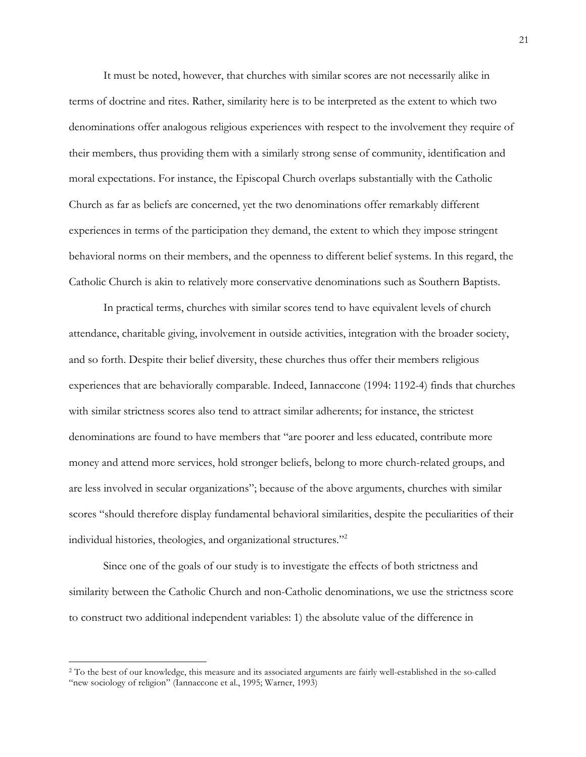It must be noted, however, that churches with similar scores are not necessarily alike in terms of doctrine and rites. Rather, similarity here is to be interpreted as the extent to which two denominations offer analogous religious experiences with respect to the involvement they require of their members, thus providing them with a similarly strong sense of community, identification and moral expectations. For instance, the Episcopal Church overlaps substantially with the Catholic Church as far as beliefs are concerned, yet the two denominations offer remarkably different experiences in terms of the participation they demand, the extent to which they impose stringent behavioral norms on their members, and the openness to different belief systems. In this regard, the Catholic Church is akin to relatively more conservative denominations such as Southern Baptists.

In practical terms, churches with similar scores tend to have equivalent levels of church attendance, charitable giving, involvement in outside activities, integration with the broader society, and so forth. Despite their belief diversity, these churches thus offer their members religious experiences that are behaviorally comparable. Indeed, Iannaccone (1994: 1192-4) finds that churches with similar strictness scores also tend to attract similar adherents; for instance, the strictest denominations are found to have members that "are poorer and less educated, contribute more money and attend more services, hold stronger beliefs, belong to more church-related groups, and are less involved in secular organizations"; because of the above arguments, churches with similar scores "should therefore display fundamental behavioral similarities, despite the peculiarities of their individual histories, theologies, and organizational structures."2

Since one of the goals of our study is to investigate the effects of both strictness and similarity between the Catholic Church and non-Catholic denominations, we use the strictness score to construct two additional independent variables: 1) the absolute value of the difference in

<sup>&</sup>lt;sup>2</sup> To the best of our knowledge, this measure and its associated arguments are fairly well-established in the so-called "new sociology of religion" (Iannaccone et al., 1995; Warner, 1993)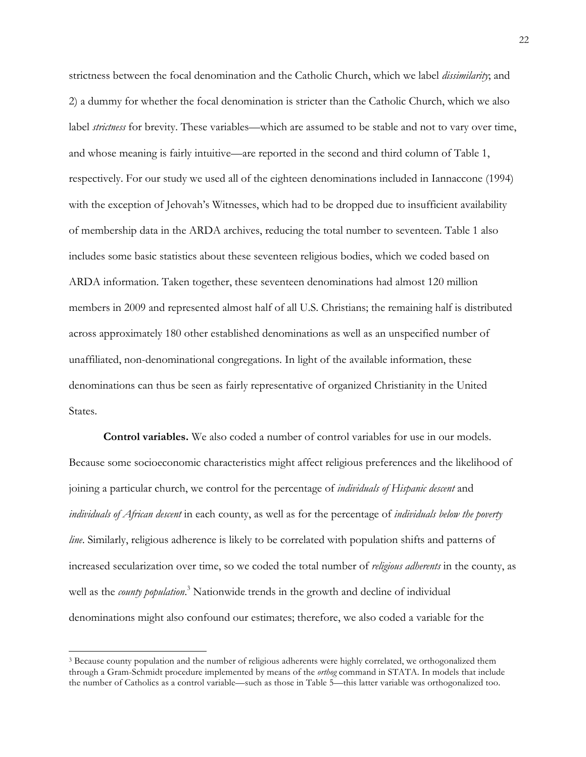strictness between the focal denomination and the Catholic Church, which we label *dissimilarity*; and 2) a dummy for whether the focal denomination is stricter than the Catholic Church, which we also label *strictness* for brevity. These variables—which are assumed to be stable and not to vary over time, and whose meaning is fairly intuitive—are reported in the second and third column of Table 1, respectively. For our study we used all of the eighteen denominations included in Iannaccone (1994) with the exception of Jehovah's Witnesses, which had to be dropped due to insufficient availability of membership data in the ARDA archives, reducing the total number to seventeen. Table 1 also includes some basic statistics about these seventeen religious bodies, which we coded based on ARDA information. Taken together, these seventeen denominations had almost 120 million members in 2009 and represented almost half of all U.S. Christians; the remaining half is distributed across approximately 180 other established denominations as well as an unspecified number of unaffiliated, non-denominational congregations. In light of the available information, these denominations can thus be seen as fairly representative of organized Christianity in the United States.

**Control variables.** We also coded a number of control variables for use in our models. Because some socioeconomic characteristics might affect religious preferences and the likelihood of joining a particular church, we control for the percentage of *individuals of Hispanic descent* and *individuals of African descent* in each county, as well as for the percentage of *individuals below the poverty line*. Similarly, religious adherence is likely to be correlated with population shifts and patterns of increased secularization over time, so we coded the total number of *religious adherents* in the county, as well as the *county population*. <sup>3</sup> Nationwide trends in the growth and decline of individual denominations might also confound our estimates; therefore, we also coded a variable for the

<sup>&</sup>lt;sup>3</sup> Because county population and the number of religious adherents were highly correlated, we orthogonalized them through a Gram-Schmidt procedure implemented by means of the *orthog* command in STATA. In models that include the number of Catholics as a control variable—such as those in Table 5—this latter variable was orthogonalized too.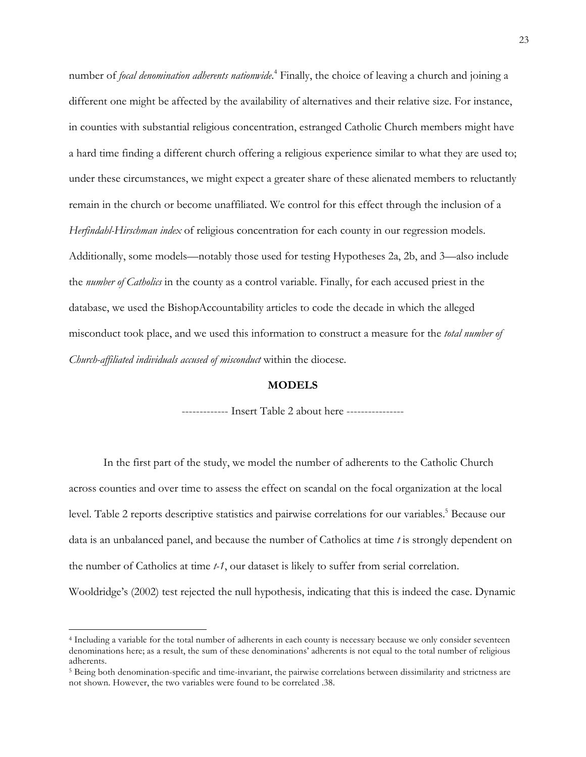number of *focal denomination adherents nationwide*. <sup>4</sup> Finally, the choice of leaving a church and joining a different one might be affected by the availability of alternatives and their relative size. For instance, in counties with substantial religious concentration, estranged Catholic Church members might have a hard time finding a different church offering a religious experience similar to what they are used to; under these circumstances, we might expect a greater share of these alienated members to reluctantly remain in the church or become unaffiliated. We control for this effect through the inclusion of a *Herfindahl-Hirschman index* of religious concentration for each county in our regression models. Additionally, some models—notably those used for testing Hypotheses 2a, 2b, and 3—also include the *number of Catholics* in the county as a control variable. Finally, for each accused priest in the database, we used the BishopAccountability articles to code the decade in which the alleged misconduct took place, and we used this information to construct a measure for the *total number of Church-affiliated individuals accused of misconduct* within the diocese*.* 

#### **MODELS**

------------- Insert Table 2 about here ----------------

In the first part of the study, we model the number of adherents to the Catholic Church across counties and over time to assess the effect on scandal on the focal organization at the local level. Table 2 reports descriptive statistics and pairwise correlations for our variables.<sup>5</sup> Because our data is an unbalanced panel, and because the number of Catholics at time *t* is strongly dependent on the number of Catholics at time *t-1*, our dataset is likely to suffer from serial correlation. Wooldridge's (2002) test rejected the null hypothesis, indicating that this is indeed the case. Dynamic

<sup>4</sup> Including a variable for the total number of adherents in each county is necessary because we only consider seventeen denominations here; as a result, the sum of these denominations' adherents is not equal to the total number of religious adherents.

<sup>5</sup> Being both denomination-specific and time-invariant, the pairwise correlations between dissimilarity and strictness are not shown. However, the two variables were found to be correlated .38.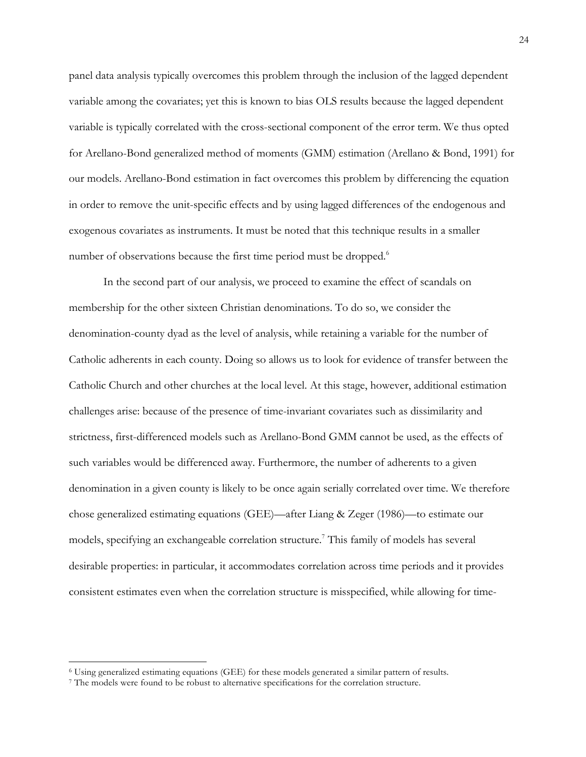panel data analysis typically overcomes this problem through the inclusion of the lagged dependent variable among the covariates; yet this is known to bias OLS results because the lagged dependent variable is typically correlated with the cross-sectional component of the error term. We thus opted for Arellano-Bond generalized method of moments (GMM) estimation (Arellano & Bond, 1991) for our models. Arellano-Bond estimation in fact overcomes this problem by differencing the equation in order to remove the unit-specific effects and by using lagged differences of the endogenous and exogenous covariates as instruments. It must be noted that this technique results in a smaller number of observations because the first time period must be dropped.<sup>6</sup>

In the second part of our analysis, we proceed to examine the effect of scandals on membership for the other sixteen Christian denominations. To do so, we consider the denomination-county dyad as the level of analysis, while retaining a variable for the number of Catholic adherents in each county. Doing so allows us to look for evidence of transfer between the Catholic Church and other churches at the local level. At this stage, however, additional estimation challenges arise: because of the presence of time-invariant covariates such as dissimilarity and strictness, first-differenced models such as Arellano-Bond GMM cannot be used, as the effects of such variables would be differenced away. Furthermore, the number of adherents to a given denomination in a given county is likely to be once again serially correlated over time. We therefore chose generalized estimating equations (GEE)—after Liang & Zeger (1986)—to estimate our models, specifying an exchangeable correlation structure.7 This family of models has several desirable properties: in particular, it accommodates correlation across time periods and it provides consistent estimates even when the correlation structure is misspecified, while allowing for time-

<sup>6</sup> Using generalized estimating equations (GEE) for these models generated a similar pattern of results.

<sup>7</sup> The models were found to be robust to alternative specifications for the correlation structure.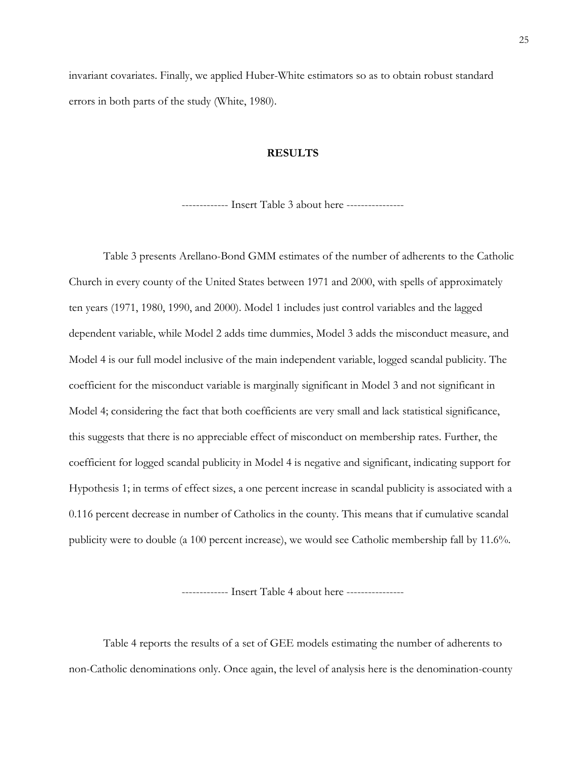invariant covariates. Finally, we applied Huber-White estimators so as to obtain robust standard errors in both parts of the study (White, 1980).

## **RESULTS**

------------- Insert Table 3 about here ----------------

Table 3 presents Arellano-Bond GMM estimates of the number of adherents to the Catholic Church in every county of the United States between 1971 and 2000, with spells of approximately ten years (1971, 1980, 1990, and 2000). Model 1 includes just control variables and the lagged dependent variable, while Model 2 adds time dummies, Model 3 adds the misconduct measure, and Model 4 is our full model inclusive of the main independent variable, logged scandal publicity. The coefficient for the misconduct variable is marginally significant in Model 3 and not significant in Model 4; considering the fact that both coefficients are very small and lack statistical significance, this suggests that there is no appreciable effect of misconduct on membership rates. Further, the coefficient for logged scandal publicity in Model 4 is negative and significant, indicating support for Hypothesis 1; in terms of effect sizes, a one percent increase in scandal publicity is associated with a 0.116 percent decrease in number of Catholics in the county. This means that if cumulative scandal publicity were to double (a 100 percent increase), we would see Catholic membership fall by 11.6%.

------------- Insert Table 4 about here ----------------

Table 4 reports the results of a set of GEE models estimating the number of adherents to non-Catholic denominations only. Once again, the level of analysis here is the denomination-county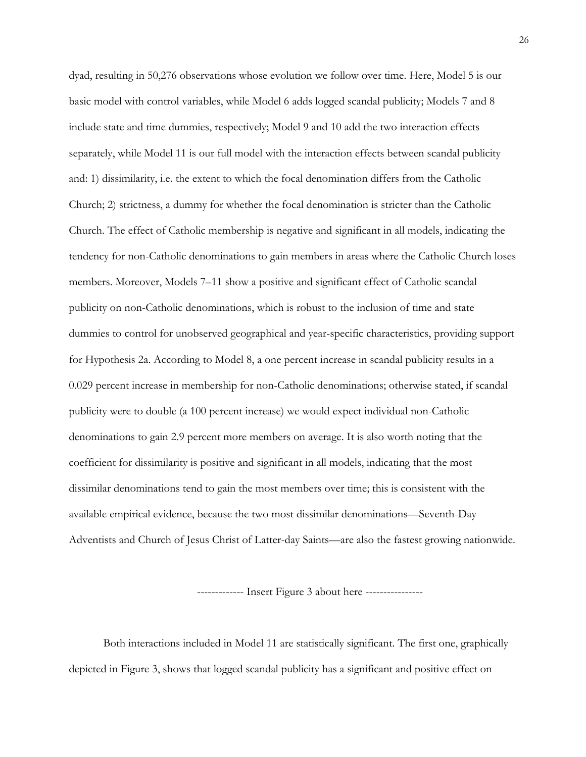dyad, resulting in 50,276 observations whose evolution we follow over time. Here, Model 5 is our basic model with control variables, while Model 6 adds logged scandal publicity; Models 7 and 8 include state and time dummies, respectively; Model 9 and 10 add the two interaction effects separately, while Model 11 is our full model with the interaction effects between scandal publicity and: 1) dissimilarity, i.e. the extent to which the focal denomination differs from the Catholic Church; 2) strictness, a dummy for whether the focal denomination is stricter than the Catholic Church. The effect of Catholic membership is negative and significant in all models, indicating the tendency for non-Catholic denominations to gain members in areas where the Catholic Church loses members. Moreover, Models 7–11 show a positive and significant effect of Catholic scandal publicity on non-Catholic denominations, which is robust to the inclusion of time and state dummies to control for unobserved geographical and year-specific characteristics, providing support for Hypothesis 2a. According to Model 8, a one percent increase in scandal publicity results in a 0.029 percent increase in membership for non-Catholic denominations; otherwise stated, if scandal publicity were to double (a 100 percent increase) we would expect individual non-Catholic denominations to gain 2.9 percent more members on average. It is also worth noting that the coefficient for dissimilarity is positive and significant in all models, indicating that the most dissimilar denominations tend to gain the most members over time; this is consistent with the available empirical evidence, because the two most dissimilar denominations—Seventh-Day Adventists and Church of Jesus Christ of Latter-day Saints—are also the fastest growing nationwide.

------------- Insert Figure 3 about here ----------------

Both interactions included in Model 11 are statistically significant. The first one, graphically depicted in Figure 3, shows that logged scandal publicity has a significant and positive effect on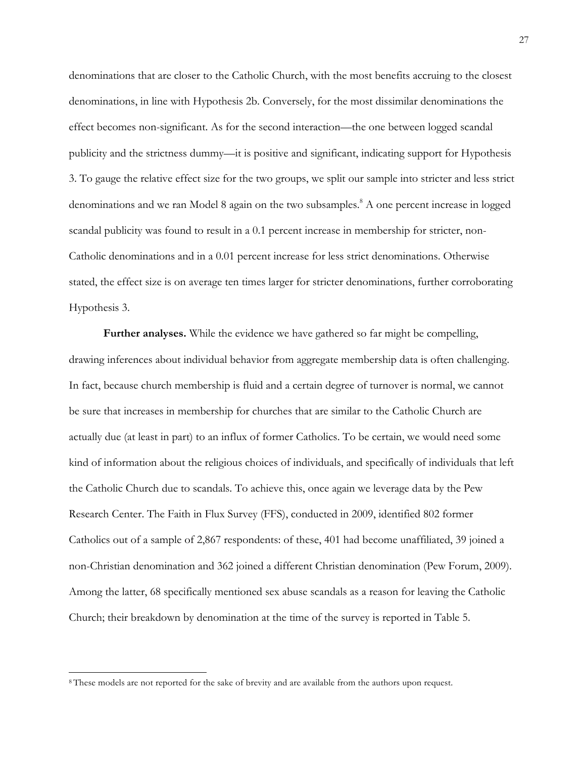denominations that are closer to the Catholic Church, with the most benefits accruing to the closest denominations, in line with Hypothesis 2b. Conversely, for the most dissimilar denominations the effect becomes non-significant. As for the second interaction—the one between logged scandal publicity and the strictness dummy—it is positive and significant, indicating support for Hypothesis 3. To gauge the relative effect size for the two groups, we split our sample into stricter and less strict denominations and we ran Model 8 again on the two subsamples.<sup>8</sup> A one percent increase in logged scandal publicity was found to result in a 0.1 percent increase in membership for stricter, non-Catholic denominations and in a 0.01 percent increase for less strict denominations. Otherwise stated, the effect size is on average ten times larger for stricter denominations, further corroborating Hypothesis 3.

**Further analyses.** While the evidence we have gathered so far might be compelling, drawing inferences about individual behavior from aggregate membership data is often challenging. In fact, because church membership is fluid and a certain degree of turnover is normal, we cannot be sure that increases in membership for churches that are similar to the Catholic Church are actually due (at least in part) to an influx of former Catholics. To be certain, we would need some kind of information about the religious choices of individuals, and specifically of individuals that left the Catholic Church due to scandals. To achieve this, once again we leverage data by the Pew Research Center. The Faith in Flux Survey (FFS), conducted in 2009, identified 802 former Catholics out of a sample of 2,867 respondents: of these, 401 had become unaffiliated, 39 joined a non-Christian denomination and 362 joined a different Christian denomination (Pew Forum, 2009). Among the latter, 68 specifically mentioned sex abuse scandals as a reason for leaving the Catholic Church; their breakdown by denomination at the time of the survey is reported in Table 5.

 

<sup>8</sup> These models are not reported for the sake of brevity and are available from the authors upon request.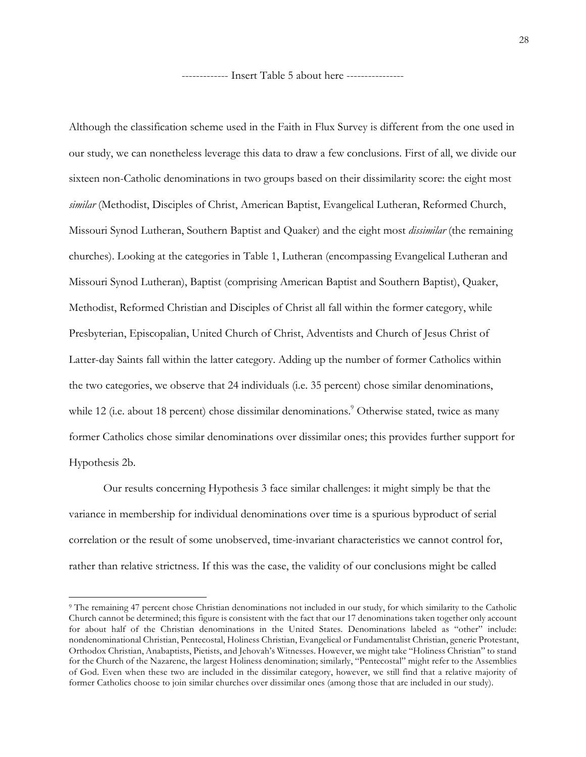------------- Insert Table 5 about here ----------------

Although the classification scheme used in the Faith in Flux Survey is different from the one used in our study, we can nonetheless leverage this data to draw a few conclusions. First of all, we divide our sixteen non-Catholic denominations in two groups based on their dissimilarity score: the eight most *similar* (Methodist, Disciples of Christ, American Baptist, Evangelical Lutheran, Reformed Church, Missouri Synod Lutheran, Southern Baptist and Quaker) and the eight most *dissimilar* (the remaining churches). Looking at the categories in Table 1, Lutheran (encompassing Evangelical Lutheran and Missouri Synod Lutheran), Baptist (comprising American Baptist and Southern Baptist), Quaker, Methodist, Reformed Christian and Disciples of Christ all fall within the former category, while Presbyterian, Episcopalian, United Church of Christ, Adventists and Church of Jesus Christ of Latter-day Saints fall within the latter category. Adding up the number of former Catholics within the two categories, we observe that 24 individuals (i.e. 35 percent) chose similar denominations, while 12 (i.e. about 18 percent) chose dissimilar denominations.<sup>9</sup> Otherwise stated, twice as many former Catholics chose similar denominations over dissimilar ones; this provides further support for Hypothesis 2b.

Our results concerning Hypothesis 3 face similar challenges: it might simply be that the variance in membership for individual denominations over time is a spurious byproduct of serial correlation or the result of some unobserved, time-invariant characteristics we cannot control for, rather than relative strictness. If this was the case, the validity of our conclusions might be called

<sup>9</sup> The remaining 47 percent chose Christian denominations not included in our study, for which similarity to the Catholic Church cannot be determined; this figure is consistent with the fact that our 17 denominations taken together only account for about half of the Christian denominations in the United States. Denominations labeled as "other" include: nondenominational Christian, Pentecostal, Holiness Christian, Evangelical or Fundamentalist Christian, generic Protestant, Orthodox Christian, Anabaptists, Pietists, and Jehovah's Witnesses. However, we might take "Holiness Christian" to stand for the Church of the Nazarene, the largest Holiness denomination; similarly, "Pentecostal" might refer to the Assemblies of God. Even when these two are included in the dissimilar category, however, we still find that a relative majority of former Catholics choose to join similar churches over dissimilar ones (among those that are included in our study).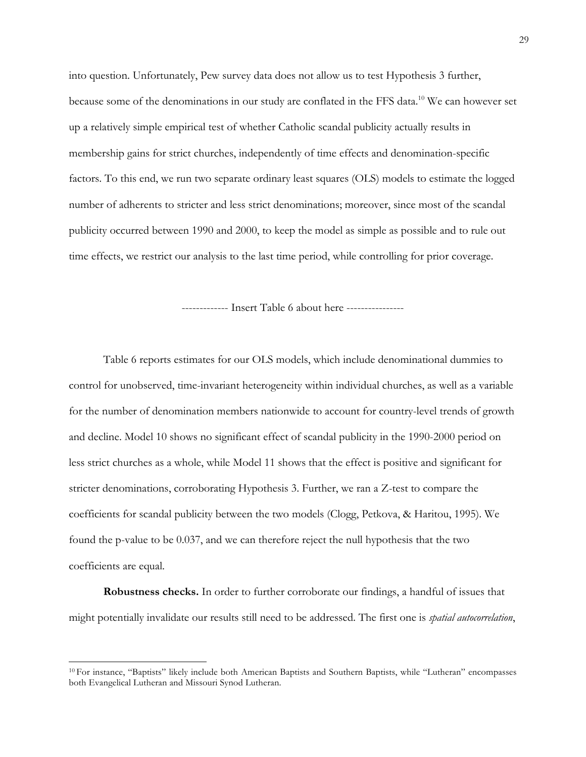into question. Unfortunately, Pew survey data does not allow us to test Hypothesis 3 further, because some of the denominations in our study are conflated in the FFS data.<sup>10</sup> We can however set up a relatively simple empirical test of whether Catholic scandal publicity actually results in membership gains for strict churches, independently of time effects and denomination-specific factors. To this end, we run two separate ordinary least squares (OLS) models to estimate the logged number of adherents to stricter and less strict denominations; moreover, since most of the scandal publicity occurred between 1990 and 2000, to keep the model as simple as possible and to rule out time effects, we restrict our analysis to the last time period, while controlling for prior coverage.

------------- Insert Table 6 about here ----------------

Table 6 reports estimates for our OLS models, which include denominational dummies to control for unobserved, time-invariant heterogeneity within individual churches, as well as a variable for the number of denomination members nationwide to account for country-level trends of growth and decline. Model 10 shows no significant effect of scandal publicity in the 1990-2000 period on less strict churches as a whole, while Model 11 shows that the effect is positive and significant for stricter denominations, corroborating Hypothesis 3. Further, we ran a Z-test to compare the coefficients for scandal publicity between the two models (Clogg, Petkova, & Haritou, 1995). We found the p-value to be 0.037, and we can therefore reject the null hypothesis that the two coefficients are equal.

**Robustness checks.** In order to further corroborate our findings, a handful of issues that might potentially invalidate our results still need to be addressed. The first one is *spatial autocorrelation*,

<sup>10</sup> For instance, "Baptists" likely include both American Baptists and Southern Baptists, while "Lutheran" encompasses both Evangelical Lutheran and Missouri Synod Lutheran.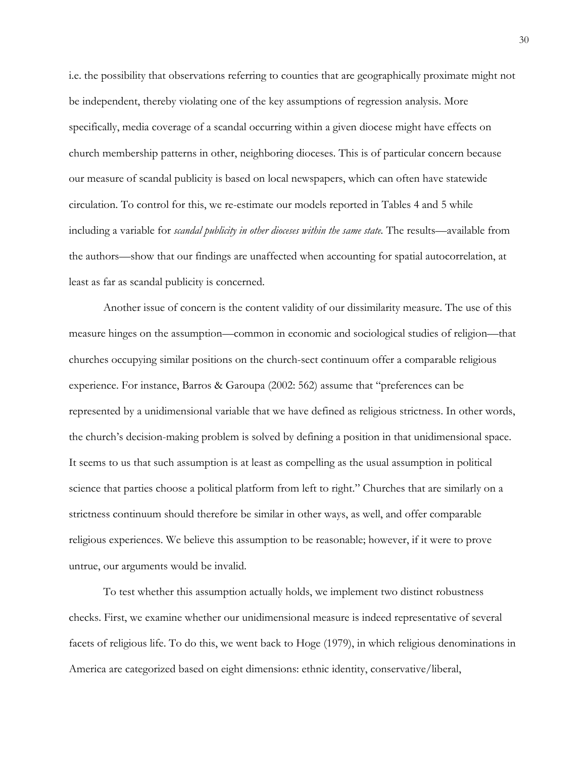i.e. the possibility that observations referring to counties that are geographically proximate might not be independent, thereby violating one of the key assumptions of regression analysis. More specifically, media coverage of a scandal occurring within a given diocese might have effects on church membership patterns in other, neighboring dioceses. This is of particular concern because our measure of scandal publicity is based on local newspapers, which can often have statewide circulation. To control for this, we re-estimate our models reported in Tables 4 and 5 while including a variable for *scandal publicity in other dioceses within the same state.* The results—available from the authors—show that our findings are unaffected when accounting for spatial autocorrelation, at least as far as scandal publicity is concerned.

Another issue of concern is the content validity of our dissimilarity measure. The use of this measure hinges on the assumption—common in economic and sociological studies of religion—that churches occupying similar positions on the church-sect continuum offer a comparable religious experience. For instance, Barros & Garoupa (2002: 562) assume that "preferences can be represented by a unidimensional variable that we have defined as religious strictness. In other words, the church's decision-making problem is solved by defining a position in that unidimensional space. It seems to us that such assumption is at least as compelling as the usual assumption in political science that parties choose a political platform from left to right." Churches that are similarly on a strictness continuum should therefore be similar in other ways, as well, and offer comparable religious experiences. We believe this assumption to be reasonable; however, if it were to prove untrue, our arguments would be invalid.

To test whether this assumption actually holds, we implement two distinct robustness checks. First, we examine whether our unidimensional measure is indeed representative of several facets of religious life. To do this, we went back to Hoge (1979), in which religious denominations in America are categorized based on eight dimensions: ethnic identity, conservative/liberal,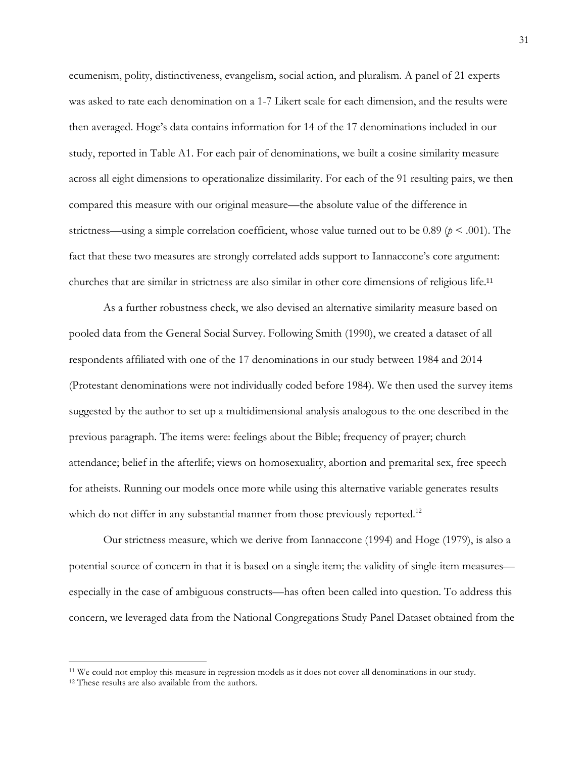ecumenism, polity, distinctiveness, evangelism, social action, and pluralism. A panel of 21 experts was asked to rate each denomination on a 1-7 Likert scale for each dimension, and the results were then averaged. Hoge's data contains information for 14 of the 17 denominations included in our study, reported in Table A1. For each pair of denominations, we built a cosine similarity measure across all eight dimensions to operationalize dissimilarity. For each of the 91 resulting pairs, we then compared this measure with our original measure—the absolute value of the difference in strictness—using a simple correlation coefficient, whose value turned out to be 0.89 ( $p < .001$ ). The fact that these two measures are strongly correlated adds support to Iannaccone's core argument: churches that are similar in strictness are also similar in other core dimensions of religious life.<sup>11</sup>

As a further robustness check, we also devised an alternative similarity measure based on pooled data from the General Social Survey. Following Smith (1990), we created a dataset of all respondents affiliated with one of the 17 denominations in our study between 1984 and 2014 (Protestant denominations were not individually coded before 1984). We then used the survey items suggested by the author to set up a multidimensional analysis analogous to the one described in the previous paragraph. The items were: feelings about the Bible; frequency of prayer; church attendance; belief in the afterlife; views on homosexuality, abortion and premarital sex, free speech for atheists. Running our models once more while using this alternative variable generates results which do not differ in any substantial manner from those previously reported.<sup>12</sup>

Our strictness measure, which we derive from Iannaccone (1994) and Hoge (1979), is also a potential source of concern in that it is based on a single item; the validity of single-item measures especially in the case of ambiguous constructs—has often been called into question. To address this concern, we leveraged data from the National Congregations Study Panel Dataset obtained from the

<sup>11</sup> We could not employ this measure in regression models as it does not cover all denominations in our study.

<sup>12</sup> These results are also available from the authors.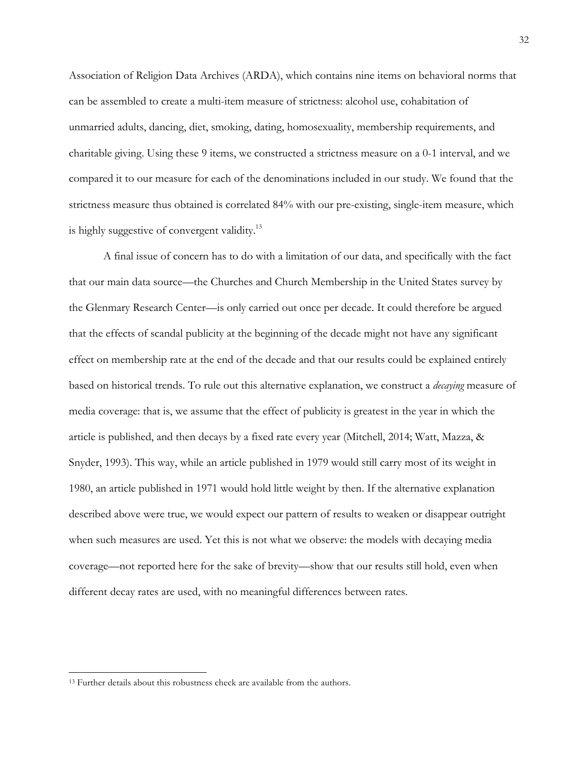Association of Religion Data Archives (ARDA), which contains nine items on behavioral norms that can be assembled to create a multi-item measure of strictness: alcohol use, cohabitation of unmarried adults, dancing, diet, smoking, dating, homosexuality, membership requirements, and charitable giving. Using these 9 items, we constructed a strictness measure on a 0-1 interval, and we compared it to our measure for each of the denominations included in our study. We found that the strictness measure thus obtained is correlated 84% with our pre-existing, single-item measure, which is highly suggestive of convergent validity.<sup>13</sup>

A final issue of concern has to do with a limitation of our data, and specifically with the fact that our main data source—the Churches and Church Membership in the United States survey by the Glenmary Research Center—is only carried out once per decade. It could therefore be argued that the effects of scandal publicity at the beginning of the decade might not have any significant effect on membership rate at the end of the decade and that our results could be explained entirely based on historical trends. To rule out this alternative explanation, we construct a *decaying* measure of media coverage: that is, we assume that the effect of publicity is greatest in the year in which the article is published, and then decays by a fixed rate every year (Mitchell, 2014; Watt, Mazza, & Snyder, 1993). This way, while an article published in 1979 would still carry most of its weight in 1980, an article published in 1971 would hold little weight by then. If the alternative explanation described above were true, we would expect our pattern of results to weaken or disappear outright when such measures are used. Yet this is not what we observe: the models with decaying media coverage—not reported here for the sake of brevity—show that our results still hold, even when different decay rates are used, with no meaningful differences between rates.

 

<sup>&</sup>lt;sup>13</sup> Further details about this robustness check are available from the authors.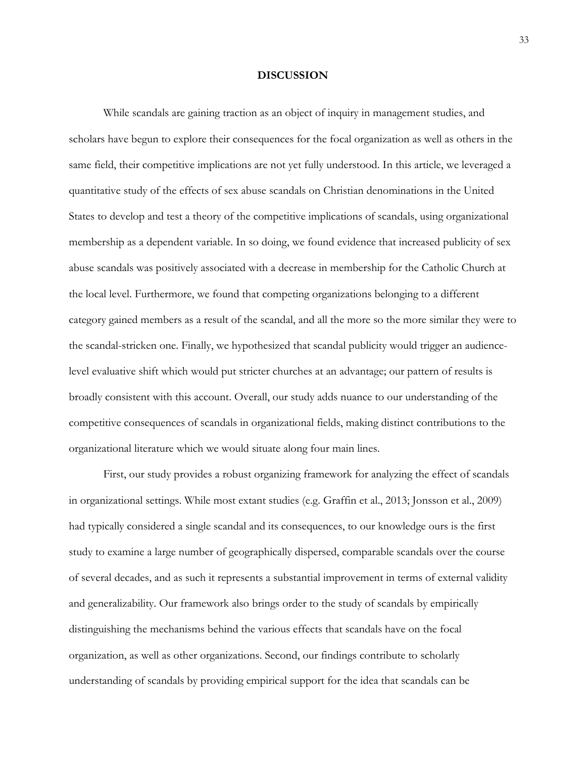#### **DISCUSSION**

While scandals are gaining traction as an object of inquiry in management studies, and scholars have begun to explore their consequences for the focal organization as well as others in the same field, their competitive implications are not yet fully understood. In this article, we leveraged a quantitative study of the effects of sex abuse scandals on Christian denominations in the United States to develop and test a theory of the competitive implications of scandals, using organizational membership as a dependent variable. In so doing, we found evidence that increased publicity of sex abuse scandals was positively associated with a decrease in membership for the Catholic Church at the local level. Furthermore, we found that competing organizations belonging to a different category gained members as a result of the scandal, and all the more so the more similar they were to the scandal-stricken one. Finally, we hypothesized that scandal publicity would trigger an audiencelevel evaluative shift which would put stricter churches at an advantage; our pattern of results is broadly consistent with this account. Overall, our study adds nuance to our understanding of the competitive consequences of scandals in organizational fields, making distinct contributions to the organizational literature which we would situate along four main lines.

First, our study provides a robust organizing framework for analyzing the effect of scandals in organizational settings. While most extant studies (e.g. Graffin et al., 2013; Jonsson et al., 2009) had typically considered a single scandal and its consequences, to our knowledge ours is the first study to examine a large number of geographically dispersed, comparable scandals over the course of several decades, and as such it represents a substantial improvement in terms of external validity and generalizability. Our framework also brings order to the study of scandals by empirically distinguishing the mechanisms behind the various effects that scandals have on the focal organization, as well as other organizations. Second, our findings contribute to scholarly understanding of scandals by providing empirical support for the idea that scandals can be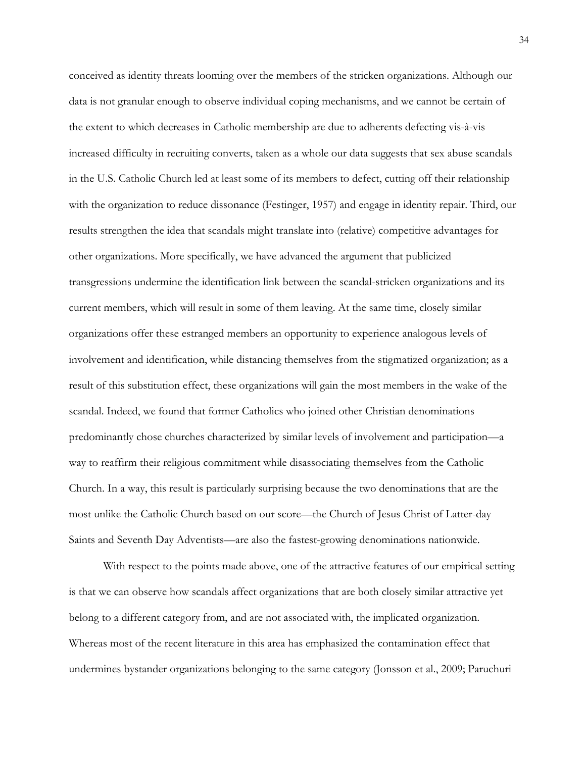conceived as identity threats looming over the members of the stricken organizations. Although our data is not granular enough to observe individual coping mechanisms, and we cannot be certain of the extent to which decreases in Catholic membership are due to adherents defecting vis-à-vis increased difficulty in recruiting converts, taken as a whole our data suggests that sex abuse scandals in the U.S. Catholic Church led at least some of its members to defect, cutting off their relationship with the organization to reduce dissonance (Festinger, 1957) and engage in identity repair. Third, our results strengthen the idea that scandals might translate into (relative) competitive advantages for other organizations. More specifically, we have advanced the argument that publicized transgressions undermine the identification link between the scandal-stricken organizations and its current members, which will result in some of them leaving. At the same time, closely similar organizations offer these estranged members an opportunity to experience analogous levels of involvement and identification, while distancing themselves from the stigmatized organization; as a result of this substitution effect, these organizations will gain the most members in the wake of the scandal. Indeed, we found that former Catholics who joined other Christian denominations predominantly chose churches characterized by similar levels of involvement and participation—a way to reaffirm their religious commitment while disassociating themselves from the Catholic Church. In a way, this result is particularly surprising because the two denominations that are the most unlike the Catholic Church based on our score—the Church of Jesus Christ of Latter-day Saints and Seventh Day Adventists—are also the fastest-growing denominations nationwide.

With respect to the points made above, one of the attractive features of our empirical setting is that we can observe how scandals affect organizations that are both closely similar attractive yet belong to a different category from, and are not associated with, the implicated organization. Whereas most of the recent literature in this area has emphasized the contamination effect that undermines bystander organizations belonging to the same category (Jonsson et al., 2009; Paruchuri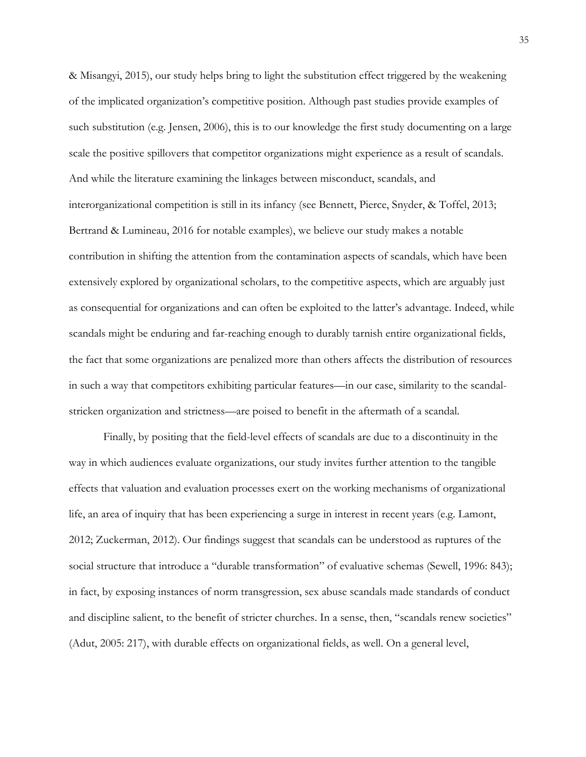& Misangyi, 2015), our study helps bring to light the substitution effect triggered by the weakening of the implicated organization's competitive position. Although past studies provide examples of such substitution (e.g. Jensen, 2006), this is to our knowledge the first study documenting on a large scale the positive spillovers that competitor organizations might experience as a result of scandals. And while the literature examining the linkages between misconduct, scandals, and interorganizational competition is still in its infancy (see Bennett, Pierce, Snyder, & Toffel, 2013; Bertrand & Lumineau, 2016 for notable examples), we believe our study makes a notable contribution in shifting the attention from the contamination aspects of scandals, which have been extensively explored by organizational scholars, to the competitive aspects, which are arguably just as consequential for organizations and can often be exploited to the latter's advantage. Indeed, while scandals might be enduring and far-reaching enough to durably tarnish entire organizational fields, the fact that some organizations are penalized more than others affects the distribution of resources in such a way that competitors exhibiting particular features—in our case, similarity to the scandalstricken organization and strictness—are poised to benefit in the aftermath of a scandal.

Finally, by positing that the field-level effects of scandals are due to a discontinuity in the way in which audiences evaluate organizations, our study invites further attention to the tangible effects that valuation and evaluation processes exert on the working mechanisms of organizational life, an area of inquiry that has been experiencing a surge in interest in recent years (e.g. Lamont, 2012; Zuckerman, 2012). Our findings suggest that scandals can be understood as ruptures of the social structure that introduce a "durable transformation" of evaluative schemas (Sewell, 1996: 843); in fact, by exposing instances of norm transgression, sex abuse scandals made standards of conduct and discipline salient, to the benefit of stricter churches. In a sense, then, "scandals renew societies" (Adut, 2005: 217), with durable effects on organizational fields, as well. On a general level,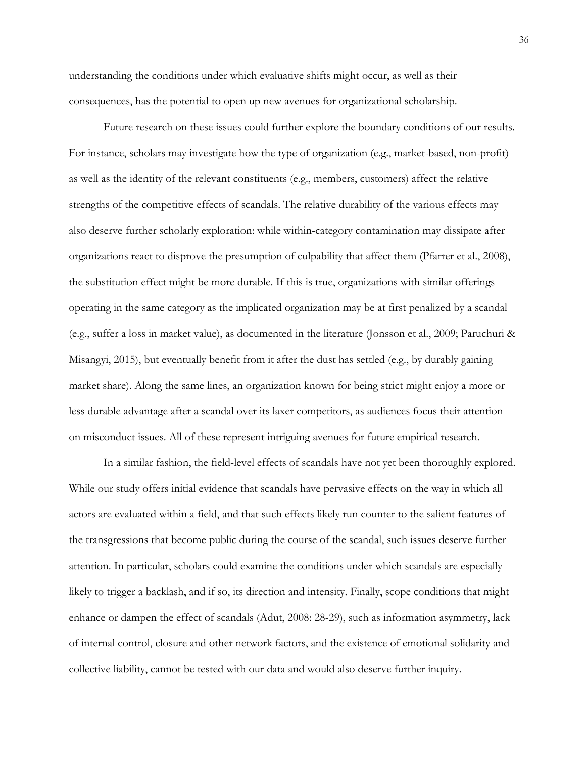understanding the conditions under which evaluative shifts might occur, as well as their consequences, has the potential to open up new avenues for organizational scholarship.

Future research on these issues could further explore the boundary conditions of our results. For instance, scholars may investigate how the type of organization (e.g., market-based, non-profit) as well as the identity of the relevant constituents (e.g., members, customers) affect the relative strengths of the competitive effects of scandals. The relative durability of the various effects may also deserve further scholarly exploration: while within-category contamination may dissipate after organizations react to disprove the presumption of culpability that affect them (Pfarrer et al., 2008), the substitution effect might be more durable. If this is true, organizations with similar offerings operating in the same category as the implicated organization may be at first penalized by a scandal (e.g., suffer a loss in market value), as documented in the literature (Jonsson et al., 2009; Paruchuri & Misangyi, 2015), but eventually benefit from it after the dust has settled (e.g., by durably gaining market share). Along the same lines, an organization known for being strict might enjoy a more or less durable advantage after a scandal over its laxer competitors, as audiences focus their attention on misconduct issues. All of these represent intriguing avenues for future empirical research.

In a similar fashion, the field-level effects of scandals have not yet been thoroughly explored. While our study offers initial evidence that scandals have pervasive effects on the way in which all actors are evaluated within a field, and that such effects likely run counter to the salient features of the transgressions that become public during the course of the scandal, such issues deserve further attention. In particular, scholars could examine the conditions under which scandals are especially likely to trigger a backlash, and if so, its direction and intensity. Finally, scope conditions that might enhance or dampen the effect of scandals (Adut, 2008: 28-29), such as information asymmetry, lack of internal control, closure and other network factors, and the existence of emotional solidarity and collective liability, cannot be tested with our data and would also deserve further inquiry.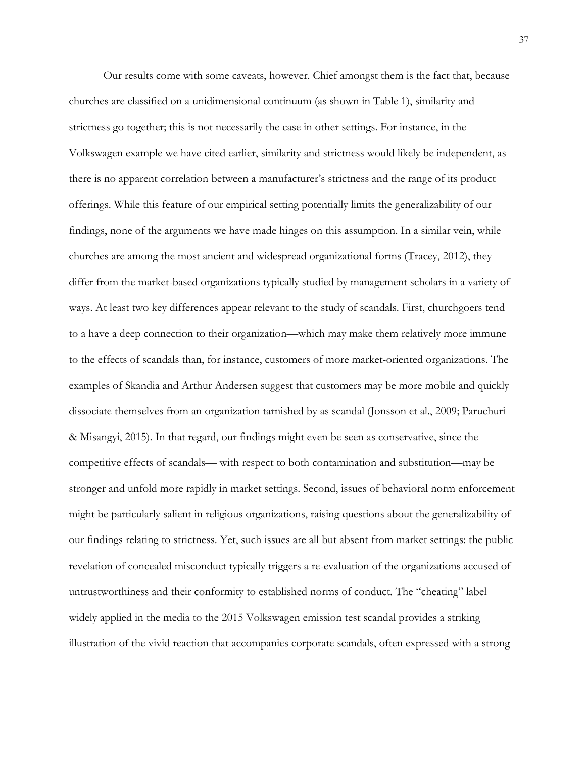Our results come with some caveats, however. Chief amongst them is the fact that, because churches are classified on a unidimensional continuum (as shown in Table 1), similarity and strictness go together; this is not necessarily the case in other settings. For instance, in the Volkswagen example we have cited earlier, similarity and strictness would likely be independent, as there is no apparent correlation between a manufacturer's strictness and the range of its product offerings. While this feature of our empirical setting potentially limits the generalizability of our findings, none of the arguments we have made hinges on this assumption. In a similar vein, while churches are among the most ancient and widespread organizational forms (Tracey, 2012), they differ from the market-based organizations typically studied by management scholars in a variety of ways. At least two key differences appear relevant to the study of scandals. First, churchgoers tend to a have a deep connection to their organization—which may make them relatively more immune to the effects of scandals than, for instance, customers of more market-oriented organizations. The examples of Skandia and Arthur Andersen suggest that customers may be more mobile and quickly dissociate themselves from an organization tarnished by as scandal (Jonsson et al., 2009; Paruchuri & Misangyi, 2015). In that regard, our findings might even be seen as conservative, since the competitive effects of scandals— with respect to both contamination and substitution—may be stronger and unfold more rapidly in market settings. Second, issues of behavioral norm enforcement might be particularly salient in religious organizations, raising questions about the generalizability of our findings relating to strictness. Yet, such issues are all but absent from market settings: the public revelation of concealed misconduct typically triggers a re-evaluation of the organizations accused of untrustworthiness and their conformity to established norms of conduct. The "cheating" label widely applied in the media to the 2015 Volkswagen emission test scandal provides a striking illustration of the vivid reaction that accompanies corporate scandals, often expressed with a strong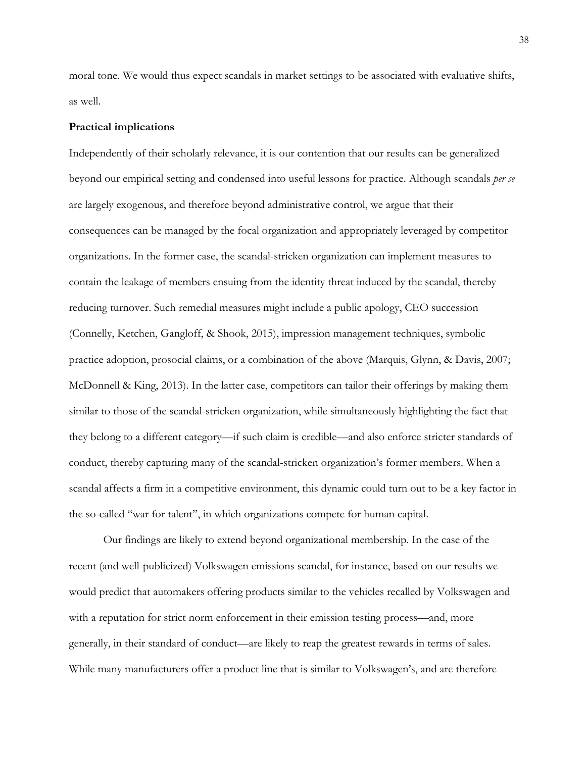moral tone. We would thus expect scandals in market settings to be associated with evaluative shifts, as well.

#### **Practical implications**

Independently of their scholarly relevance, it is our contention that our results can be generalized beyond our empirical setting and condensed into useful lessons for practice. Although scandals *per se* are largely exogenous, and therefore beyond administrative control, we argue that their consequences can be managed by the focal organization and appropriately leveraged by competitor organizations. In the former case, the scandal-stricken organization can implement measures to contain the leakage of members ensuing from the identity threat induced by the scandal, thereby reducing turnover. Such remedial measures might include a public apology, CEO succession (Connelly, Ketchen, Gangloff, & Shook, 2015), impression management techniques, symbolic practice adoption, prosocial claims, or a combination of the above (Marquis, Glynn, & Davis, 2007; McDonnell & King, 2013). In the latter case, competitors can tailor their offerings by making them similar to those of the scandal-stricken organization, while simultaneously highlighting the fact that they belong to a different category—if such claim is credible—and also enforce stricter standards of conduct, thereby capturing many of the scandal-stricken organization's former members. When a scandal affects a firm in a competitive environment, this dynamic could turn out to be a key factor in the so-called "war for talent", in which organizations compete for human capital.

Our findings are likely to extend beyond organizational membership. In the case of the recent (and well-publicized) Volkswagen emissions scandal, for instance, based on our results we would predict that automakers offering products similar to the vehicles recalled by Volkswagen and with a reputation for strict norm enforcement in their emission testing process—and, more generally, in their standard of conduct—are likely to reap the greatest rewards in terms of sales. While many manufacturers offer a product line that is similar to Volkswagen's, and are therefore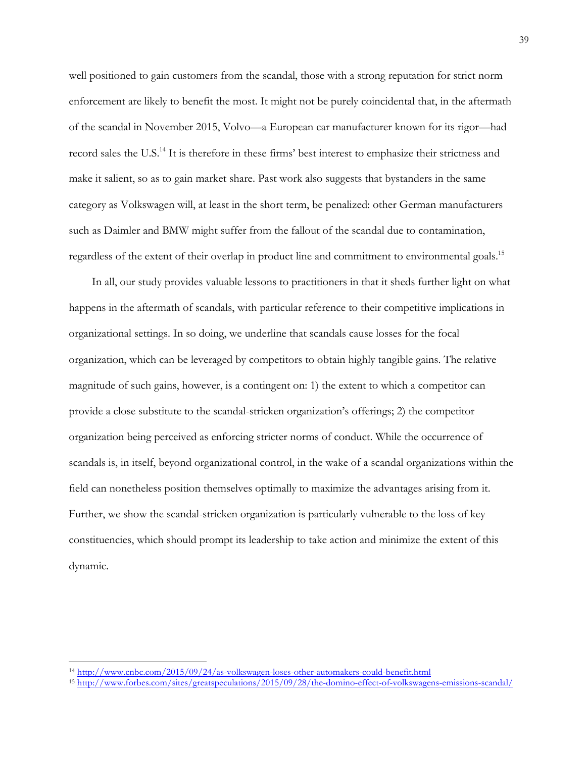well positioned to gain customers from the scandal, those with a strong reputation for strict norm enforcement are likely to benefit the most. It might not be purely coincidental that, in the aftermath of the scandal in November 2015, Volvo—a European car manufacturer known for its rigor—had record sales the U.S.<sup>14</sup> It is therefore in these firms' best interest to emphasize their strictness and make it salient, so as to gain market share. Past work also suggests that bystanders in the same category as Volkswagen will, at least in the short term, be penalized: other German manufacturers such as Daimler and BMW might suffer from the fallout of the scandal due to contamination, regardless of the extent of their overlap in product line and commitment to environmental goals.<sup>15</sup>

In all, our study provides valuable lessons to practitioners in that it sheds further light on what happens in the aftermath of scandals, with particular reference to their competitive implications in organizational settings. In so doing, we underline that scandals cause losses for the focal organization, which can be leveraged by competitors to obtain highly tangible gains. The relative magnitude of such gains, however, is a contingent on: 1) the extent to which a competitor can provide a close substitute to the scandal-stricken organization's offerings; 2) the competitor organization being perceived as enforcing stricter norms of conduct. While the occurrence of scandals is, in itself, beyond organizational control, in the wake of a scandal organizations within the field can nonetheless position themselves optimally to maximize the advantages arising from it. Further, we show the scandal-stricken organization is particularly vulnerable to the loss of key constituencies, which should prompt its leadership to take action and minimize the extent of this dynamic.

<sup>14</sup> http://www.cnbc.com/2015/09/24/as-volkswagen-loses-other-automakers-could-benefit.html

<sup>15</sup> http://www.forbes.com/sites/greatspeculations/2015/09/28/the-domino-effect-of-volkswagens-emissions-scandal/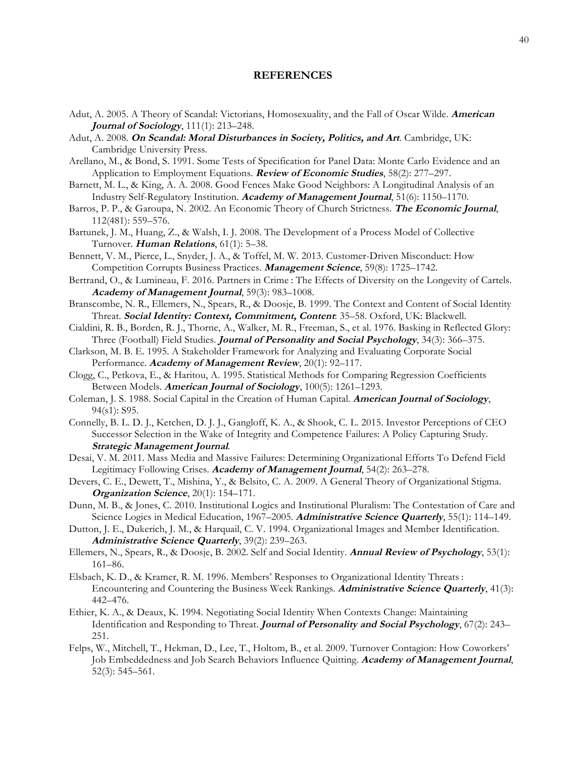#### **REFERENCES**

- Adut, A. 2005. A Theory of Scandal: Victorians, Homosexuality, and the Fall of Oscar Wilde. **American Journal of Sociology**, 111(1): 213–248.
- Adut, A. 2008. **On Scandal: Moral Disturbances in Society, Politics, and Art**. Cambridge, UK: Cambridge University Press.
- Arellano, M., & Bond, S. 1991. Some Tests of Specification for Panel Data: Monte Carlo Evidence and an Application to Employment Equations. **Review of Economic Studies**, 58(2): 277–297.
- Barnett, M. L., & King, A. A. 2008. Good Fences Make Good Neighbors: A Longitudinal Analysis of an Industry Self-Regulatory Institution. **Academy of Management Journal**, 51(6): 1150–1170.
- Barros, P. P., & Garoupa, N. 2002. An Economic Theory of Church Strictness. **The Economic Journal**, 112(481): 559–576.
- Bartunek, J. M., Huang, Z., & Walsh, I. J. 2008. The Development of a Process Model of Collective Turnover. **Human Relations**, 61(1): 5–38.
- Bennett, V. M., Pierce, L., Snyder, J. A., & Toffel, M. W. 2013. Customer-Driven Misconduct: How Competition Corrupts Business Practices. **Management Science**, 59(8): 1725–1742.
- Bertrand, O., & Lumineau, F. 2016. Partners in Crime : The Effects of Diversity on the Longevity of Cartels. **Academy of Management Journal**, 59(3): 983–1008.
- Branscombe, N. R., Ellemers, N., Spears, R., & Doosje, B. 1999. The Context and Content of Social Identity Threat. **Social Identity: Context, Commitment, Content**: 35–58. Oxford, UK: Blackwell.
- Cialdini, R. B., Borden, R. J., Thorne, A., Walker, M. R., Freeman, S., et al. 1976. Basking in Reflected Glory: Three (Football) Field Studies. **Journal of Personality and Social Psychology**, 34(3): 366–375.
- Clarkson, M. B. E. 1995. A Stakeholder Framework for Analyzing and Evaluating Corporate Social Performance. **Academy of Management Review**, 20(1): 92–117.
- Clogg, C., Petkova, E., & Haritou, A. 1995. Statistical Methods for Comparing Regression Coefficients Between Models. **American Journal of Sociology**, 100(5): 1261–1293.
- Coleman, J. S. 1988. Social Capital in the Creation of Human Capital. **American Journal of Sociology**, 94(s1): S95.
- Connelly, B. L. D. J., Ketchen, D. J. J., Gangloff, K. A., & Shook, C. L. 2015. Investor Perceptions of CEO Successor Selection in the Wake of Integrity and Competence Failures: A Policy Capturing Study. **Strategic Management Journal**.
- Desai, V. M. 2011. Mass Media and Massive Failures: Determining Organizational Efforts To Defend Field Legitimacy Following Crises. **Academy of Management Journal**, 54(2): 263–278.
- Devers, C. E., Dewett, T., Mishina, Y., & Belsito, C. A. 2009. A General Theory of Organizational Stigma. **Organization Science**, 20(1): 154–171.
- Dunn, M. B., & Jones, C. 2010. Institutional Logics and Institutional Pluralism: The Contestation of Care and Science Logics in Medical Education, 1967–2005. **Administrative Science Quarterly**, 55(1): 114–149.
- Dutton, J. E., Dukerich, J. M., & Harquail, C. V. 1994. Organizational Images and Member Identification. **Administrative Science Quarterly**, 39(2): 239–263.
- Ellemers, N., Spears, R., & Doosje, B. 2002. Self and Social Identity. **Annual Review of Psychology**, 53(1): 161–86.
- Elsbach, K. D., & Kramer, R. M. 1996. Members' Responses to Organizational Identity Threats : Encountering and Countering the Business Week Rankings. **Administrative Science Quarterly**, 41(3): 442–476.
- Ethier, K. A., & Deaux, K. 1994. Negotiating Social Identity When Contexts Change: Maintaining Identification and Responding to Threat. **Journal of Personality and Social Psychology**, 67(2): 243– 251.
- Felps, W., Mitchell, T., Hekman, D., Lee, T., Holtom, B., et al. 2009. Turnover Contagion: How Coworkers' Job Embeddedness and Job Search Behaviors Influence Quitting. **Academy of Management Journal**, 52(3): 545–561.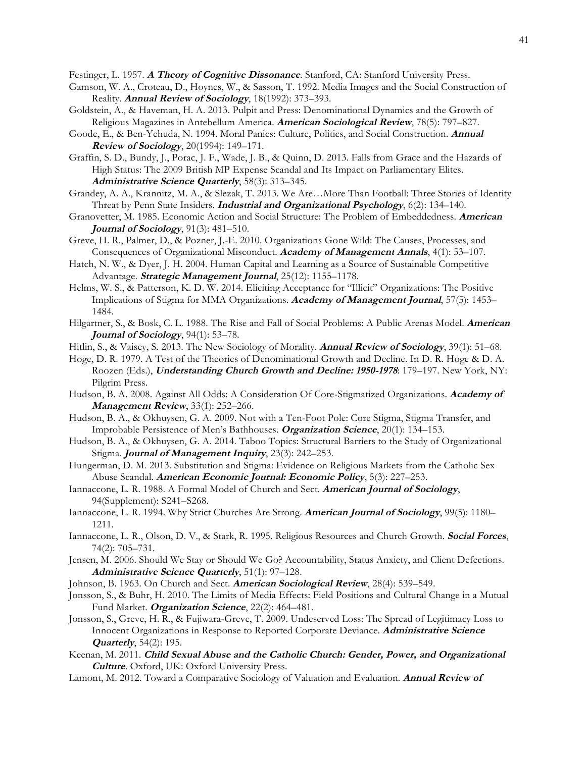Festinger, L. 1957. **A Theory of Cognitive Dissonance**. Stanford, CA: Stanford University Press.

- Gamson, W. A., Croteau, D., Hoynes, W., & Sasson, T. 1992. Media Images and the Social Construction of Reality. **Annual Review of Sociology**, 18(1992): 373–393.
- Goldstein, A., & Haveman, H. A. 2013. Pulpit and Press: Denominational Dynamics and the Growth of Religious Magazines in Antebellum America. **American Sociological Review**, 78(5): 797–827.
- Goode, E., & Ben-Yehuda, N. 1994. Moral Panics: Culture, Politics, and Social Construction. **Annual Review of Sociology**, 20(1994): 149–171.
- Graffin, S. D., Bundy, J., Porac, J. F., Wade, J. B., & Quinn, D. 2013. Falls from Grace and the Hazards of High Status: The 2009 British MP Expense Scandal and Its Impact on Parliamentary Elites. **Administrative Science Quarterly**, 58(3): 313–345.
- Grandey, A. A., Krannitz, M. A., & Slezak, T. 2013. We Are…More Than Football: Three Stories of Identity Threat by Penn State Insiders. **Industrial and Organizational Psychology**, 6(2): 134–140.
- Granovetter, M. 1985. Economic Action and Social Structure: The Problem of Embeddedness. **American Journal of Sociology**, 91(3): 481–510.
- Greve, H. R., Palmer, D., & Pozner, J.-E. 2010. Organizations Gone Wild: The Causes, Processes, and Consequences of Organizational Misconduct. **Academy of Management Annals**, 4(1): 53–107.
- Hatch, N. W., & Dyer, J. H. 2004. Human Capital and Learning as a Source of Sustainable Competitive Advantage. **Strategic Management Journal**, 25(12): 1155–1178.
- Helms, W. S., & Patterson, K. D. W. 2014. Eliciting Acceptance for "Illicit" Organizations: The Positive Implications of Stigma for MMA Organizations. **Academy of Management Journal**, 57(5): 1453– 1484.
- Hilgartner, S., & Bosk, C. L. 1988. The Rise and Fall of Social Problems: A Public Arenas Model. **American**  *Journal of Sociology*, 94(1): 53–78.
- Hitlin, S., & Vaisey, S. 2013. The New Sociology of Morality. **Annual Review of Sociology**, 39(1): 51–68.
- Hoge, D. R. 1979. A Test of the Theories of Denominational Growth and Decline. In D. R. Hoge & D. A. Roozen (Eds.), **Understanding Church Growth and Decline: 1950-1978**: 179–197. New York, NY: Pilgrim Press.
- Hudson, B. A. 2008. Against All Odds: A Consideration Of Core-Stigmatized Organizations. **Academy of Management Review**, 33(1): 252–266.
- Hudson, B. A., & Okhuysen, G. A. 2009. Not with a Ten-Foot Pole: Core Stigma, Stigma Transfer, and Improbable Persistence of Men's Bathhouses. **Organization Science**, 20(1): 134–153.
- Hudson, B. A., & Okhuysen, G. A. 2014. Taboo Topics: Structural Barriers to the Study of Organizational Stigma. **Journal of Management Inquiry**, 23(3): 242–253.
- Hungerman, D. M. 2013. Substitution and Stigma: Evidence on Religious Markets from the Catholic Sex Abuse Scandal. **American Economic Journal: Economic Policy**, 5(3): 227–253.
- Iannaccone, L. R. 1988. A Formal Model of Church and Sect. **American Journal of Sociology**, 94(Supplement): S241–S268.
- Iannaccone, L. R. 1994. Why Strict Churches Are Strong. **American Journal of Sociology**, 99(5): 1180– 1211.
- Iannaccone, L. R., Olson, D. V., & Stark, R. 1995. Religious Resources and Church Growth. **Social Forces**, 74(2): 705–731.
- Jensen, M. 2006. Should We Stay or Should We Go? Accountability, Status Anxiety, and Client Defections. **Administrative Science Quarterly**, 51(1): 97–128.
- Johnson, B. 1963. On Church and Sect. **American Sociological Review**, 28(4): 539–549.
- Jonsson, S., & Buhr, H. 2010. The Limits of Media Effects: Field Positions and Cultural Change in a Mutual Fund Market. **Organization Science**, 22(2): 464–481.
- Jonsson, S., Greve, H. R., & Fujiwara-Greve, T. 2009. Undeserved Loss: The Spread of Legitimacy Loss to Innocent Organizations in Response to Reported Corporate Deviance. **Administrative Science Quarterly**, 54(2): 195.
- Keenan, M. 2011. **Child Sexual Abuse and the Catholic Church: Gender, Power, and Organizational Culture**. Oxford, UK: Oxford University Press.
- Lamont, M. 2012. Toward a Comparative Sociology of Valuation and Evaluation. **Annual Review of**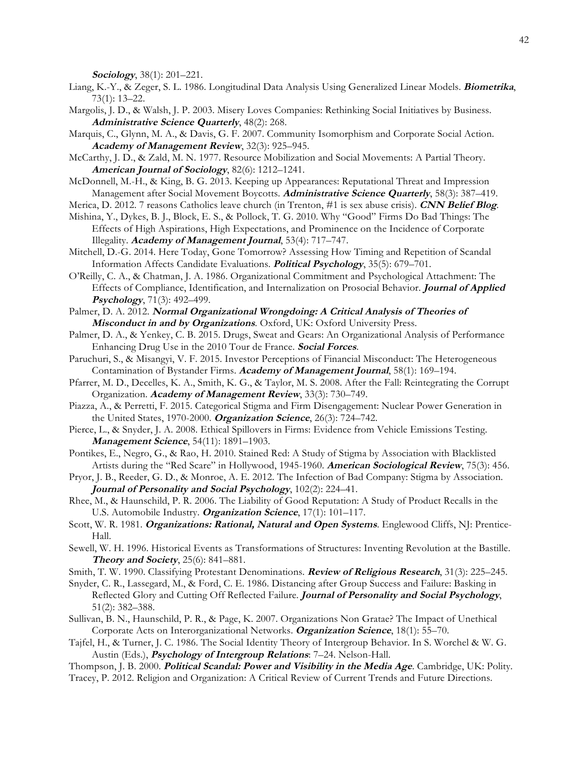**Sociology**, 38(1): 201–221.

- Liang, K.-Y., & Zeger, S. L. 1986. Longitudinal Data Analysis Using Generalized Linear Models. **Biometrika**, 73(1): 13–22.
- Margolis, J. D., & Walsh, J. P. 2003. Misery Loves Companies: Rethinking Social Initiatives by Business. **Administrative Science Quarterly**, 48(2): 268.
- Marquis, C., Glynn, M. A., & Davis, G. F. 2007. Community Isomorphism and Corporate Social Action. **Academy of Management Review**, 32(3): 925–945.
- McCarthy, J. D., & Zald, M. N. 1977. Resource Mobilization and Social Movements: A Partial Theory. **American Journal of Sociology**, 82(6): 1212–1241.
- McDonnell, M.-H., & King, B. G. 2013. Keeping up Appearances: Reputational Threat and Impression Management after Social Movement Boycotts. **Administrative Science Quarterly**, 58(3): 387–419.
- Merica, D. 2012. 7 reasons Catholics leave church (in Trenton, #1 is sex abuse crisis). **CNN Belief Blog**.
- Mishina, Y., Dykes, B. J., Block, E. S., & Pollock, T. G. 2010. Why "Good" Firms Do Bad Things: The Effects of High Aspirations, High Expectations, and Prominence on the Incidence of Corporate Illegality. **Academy of Management Journal**, 53(4): 717–747.
- Mitchell, D.-G. 2014. Here Today, Gone Tomorrow? Assessing How Timing and Repetition of Scandal Information Affects Candidate Evaluations. **Political Psychology**, 35(5): 679–701.
- O'Reilly, C. A., & Chatman, J. A. 1986. Organizational Commitment and Psychological Attachment: The Effects of Compliance, Identification, and Internalization on Prosocial Behavior. **Journal of Applied Psychology**, 71(3): 492–499.
- Palmer, D. A. 2012. **Normal Organizational Wrongdoing: A Critical Analysis of Theories of Misconduct in and by Organizations**. Oxford, UK: Oxford University Press.
- Palmer, D. A., & Yenkey, C. B. 2015. Drugs, Sweat and Gears: An Organizational Analysis of Performance Enhancing Drug Use in the 2010 Tour de France. **Social Forces**.
- Paruchuri, S., & Misangyi, V. F. 2015. Investor Perceptions of Financial Misconduct: The Heterogeneous Contamination of Bystander Firms. **Academy of Management Journal**, 58(1): 169–194.
- Pfarrer, M. D., Decelles, K. A., Smith, K. G., & Taylor, M. S. 2008. After the Fall: Reintegrating the Corrupt Organization. **Academy of Management Review**, 33(3): 730–749.
- Piazza, A., & Perretti, F. 2015. Categorical Stigma and Firm Disengagement: Nuclear Power Generation in the United States, 1970-2000. **Organization Science**, 26(3): 724–742.
- Pierce, L., & Snyder, J. A. 2008. Ethical Spillovers in Firms: Evidence from Vehicle Emissions Testing. **Management Science**, 54(11): 1891–1903.
- Pontikes, E., Negro, G., & Rao, H. 2010. Stained Red: A Study of Stigma by Association with Blacklisted Artists during the "Red Scare" in Hollywood, 1945-1960. **American Sociological Review**, 75(3): 456.
- Pryor, J. B., Reeder, G. D., & Monroe, A. E. 2012. The Infection of Bad Company: Stigma by Association. **Journal of Personality and Social Psychology**, 102(2): 224–41.
- Rhee, M., & Haunschild, P. R. 2006. The Liability of Good Reputation: A Study of Product Recalls in the U.S. Automobile Industry. **Organization Science**, 17(1): 101–117.
- Scott, W. R. 1981. **Organizations: Rational, Natural and Open Systems**. Englewood Cliffs, NJ: Prentice-Hall.
- Sewell, W. H. 1996. Historical Events as Transformations of Structures: Inventing Revolution at the Bastille. **Theory and Society**, 25(6): 841–881.
- Smith, T. W. 1990. Classifying Protestant Denominations. **Review of Religious Research**, 31(3): 225–245.
- Snyder, C. R., Lassegard, M., & Ford, C. E. 1986. Distancing after Group Success and Failure: Basking in Reflected Glory and Cutting Off Reflected Failure. **Journal of Personality and Social Psychology**, 51(2): 382–388.
- Sullivan, B. N., Haunschild, P. R., & Page, K. 2007. Organizations Non Gratae? The Impact of Unethical Corporate Acts on Interorganizational Networks. **Organization Science**, 18(1): 55–70.
- Tajfel, H., & Turner, J. C. 1986. The Social Identity Theory of Intergroup Behavior. In S. Worchel & W. G. Austin (Eds.), **Psychology of Intergroup Relations**: 7–24. Nelson-Hall.
- Thompson, J. B. 2000. **Political Scandal: Power and Visibility in the Media Age**. Cambridge, UK: Polity.
- Tracey, P. 2012. Religion and Organization: A Critical Review of Current Trends and Future Directions.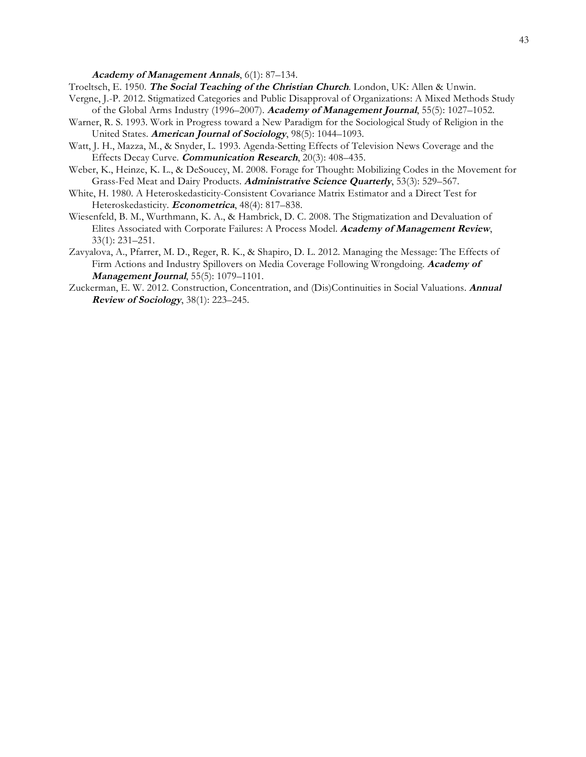#### **Academy of Management Annals**, 6(1): 87–134.

Troeltsch, E. 1950. **The Social Teaching of the Christian Church**. London, UK: Allen & Unwin.

- Vergne, J.-P. 2012. Stigmatized Categories and Public Disapproval of Organizations: A Mixed Methods Study of the Global Arms Industry (1996–2007). **Academy of Management Journal**, 55(5): 1027–1052.
- Warner, R. S. 1993. Work in Progress toward a New Paradigm for the Sociological Study of Religion in the United States. **American Journal of Sociology**, 98(5): 1044–1093.
- Watt, J. H., Mazza, M., & Snyder, L. 1993. Agenda-Setting Effects of Television News Coverage and the Effects Decay Curve. **Communication Research**, 20(3): 408–435.
- Weber, K., Heinze, K. L., & DeSoucey, M. 2008. Forage for Thought: Mobilizing Codes in the Movement for Grass-Fed Meat and Dairy Products. **Administrative Science Quarterly**, 53(3): 529–567.
- White, H. 1980. A Heteroskedasticity-Consistent Covariance Matrix Estimator and a Direct Test for Heteroskedasticity. **Econometrica**, 48(4): 817–838.
- Wiesenfeld, B. M., Wurthmann, K. A., & Hambrick, D. C. 2008. The Stigmatization and Devaluation of Elites Associated with Corporate Failures: A Process Model. **Academy of Management Review**, 33(1): 231–251.
- Zavyalova, A., Pfarrer, M. D., Reger, R. K., & Shapiro, D. L. 2012. Managing the Message: The Effects of Firm Actions and Industry Spillovers on Media Coverage Following Wrongdoing. **Academy of Management Journal**, 55(5): 1079–1101.
- Zuckerman, E. W. 2012. Construction, Concentration, and (Dis)Continuities in Social Valuations. **Annual Review of Sociology**, 38(1): 223–245.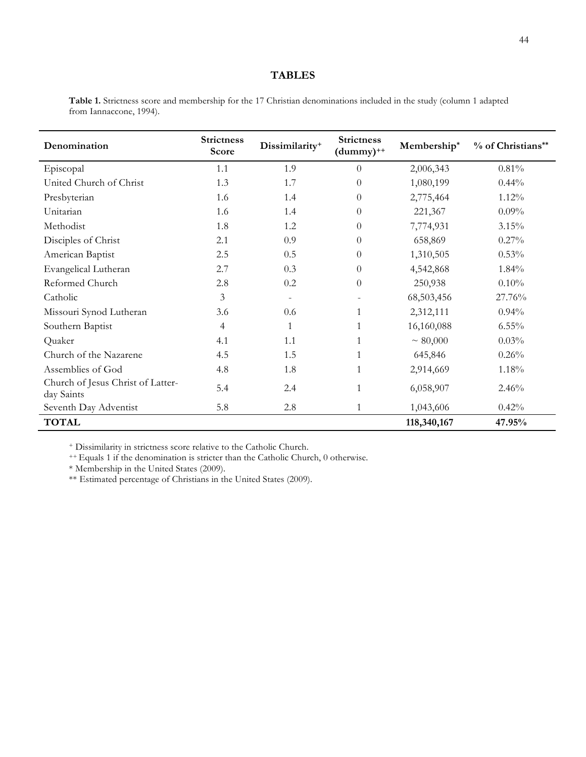# **TABLES**

**Table 1.** Strictness score and membership for the 17 Christian denominations included in the study (column 1 adapted from Iannaccone, 1994).

| Denomination                                    | <b>Strictness</b><br>Score | Dissimilarity <sup>+</sup> | <b>Strictness</b><br>$(dummy)^{++}$ | Membership*   | % of Christians** |
|-------------------------------------------------|----------------------------|----------------------------|-------------------------------------|---------------|-------------------|
| Episcopal                                       | $1.1\,$                    | 1.9                        | $\overline{0}$                      | 2,006,343     | 0.81%             |
| United Church of Christ                         | 1.3                        | 1.7                        | $\theta$                            | 1,080,199     | $0.44\%$          |
| Presbyterian                                    | 1.6                        | 1.4                        | $\overline{0}$                      | 2,775,464     | 1.12%             |
| Unitarian                                       | 1.6                        | 1.4                        | $\boldsymbol{0}$                    | 221,367       | $0.09\%$          |
| Methodist                                       | 1.8                        | 1.2                        | $\boldsymbol{0}$                    | 7,774,931     | 3.15%             |
| Disciples of Christ                             | 2.1                        | 0.9                        | $\boldsymbol{0}$                    | 658,869       | $0.27\%$          |
| American Baptist                                | 2.5                        | 0.5                        | $\boldsymbol{0}$                    | 1,310,505     | 0.53%             |
| Evangelical Lutheran                            | 2.7                        | 0.3                        | $\theta$                            | 4,542,868     | 1.84%             |
| Reformed Church                                 | 2.8                        | 0.2                        | $\theta$                            | 250,938       | 0.10%             |
| Catholic                                        | 3                          | $\overline{\phantom{a}}$   |                                     | 68,503,456    | 27.76%            |
| Missouri Synod Lutheran                         | 3.6                        | 0.6                        | 1                                   | 2,312,111     | 0.94%             |
| Southern Baptist                                | $\overline{4}$             | $\mathbf{1}$               | 1                                   | 16,160,088    | $6.55\%$          |
| Quaker                                          | 4.1                        | 1.1                        | $\mathbf{1}$                        | $\sim 80,000$ | 0.03%             |
| Church of the Nazarene                          | 4.5                        | 1.5                        | $\mathbf{1}$                        | 645,846       | 0.26%             |
| Assemblies of God                               | 4.8                        | 1.8                        | $\mathbf{1}$                        | 2,914,669     | 1.18%             |
| Church of Jesus Christ of Latter-<br>day Saints | 5.4                        | 2.4                        | $\mathbf{1}$                        | 6,058,907     | 2.46%             |
| Seventh Day Adventist                           | 5.8                        | 2.8                        | $\mathbf{1}$                        | 1,043,606     | 0.42%             |
| <b>TOTAL</b>                                    |                            |                            |                                     | 118,340,167   | 47.95%            |

<sup>+</sup> Dissimilarity in strictness score relative to the Catholic Church.

++ Equals 1 if the denomination is stricter than the Catholic Church, 0 otherwise.

\* Membership in the United States (2009).

\*\* Estimated percentage of Christians in the United States (2009).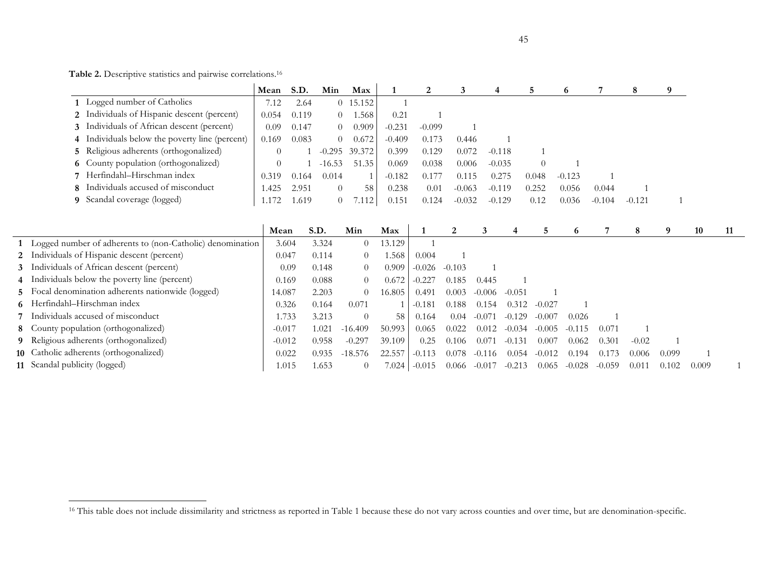**Table 2.** Descriptive statistics and pairwise correlations.16

|                                                | Mean  | S.D.   | Min      | Max             |          |          |          | 4        | 5     | o        |          | 8        | 9 |
|------------------------------------------------|-------|--------|----------|-----------------|----------|----------|----------|----------|-------|----------|----------|----------|---|
| 1 Logged number of Catholics                   | 7.12  | 2.64   |          | $0$ 15.152      |          |          |          |          |       |          |          |          |   |
| 2 Individuals of Hispanic descent (percent)    | 0.054 | 0.119  | $\theta$ | . .568          | 0.21     |          |          |          |       |          |          |          |   |
| 3 Individuals of African descent (percent)     | 0.09  | 0.147  |          | $0 \quad 0.909$ | $-0.231$ | $-0.099$ |          |          |       |          |          |          |   |
| 4 Individuals below the poverty line (percent) | 0.169 | 0.083  |          | $0\quad 0.672$  | $-0.409$ | 0.173    | 0.446    |          |       |          |          |          |   |
| 5 Religious adherents (orthogonalized)         |       |        | $-0.295$ | 39.372          | 0.399    | 0.129    | 0.072    | $-0.118$ |       |          |          |          |   |
| <b>6</b> County population (orthogonalized)    |       |        | $-16.53$ | 51.35           | 0.069    | 0.038    | 0.006    | $-0.035$ |       |          |          |          |   |
| 7 Herfindahl-Hirschman index                   | 0.319 | 0.164  | 0.014    |                 | $-0.182$ | 0.177    | 0.115    | 0.275    | 0.048 | $-0.123$ |          |          |   |
| 8 Individuals accused of misconduct            | l.425 | 2.951  | $\theta$ | 58              | 0.238    | 0.01     | $-0.063$ | $-0.119$ | 0.252 | 0.056    | 0.044    |          |   |
| <b>9</b> Scandal coverage (logged)             | 1.172 | . .619 | $\Omega$ | 7.112           | 0.151    | 0.124    | $-0.032$ | $-0.129$ | 0.12  | 0.036    | $-0.104$ | $-0.121$ |   |

|                                                             | Mean     | S.D.  | Min       | Max    |          |          |                 |          |          |          |           | 8       |       | 10    |  |
|-------------------------------------------------------------|----------|-------|-----------|--------|----------|----------|-----------------|----------|----------|----------|-----------|---------|-------|-------|--|
| 1 Logged number of adherents to (non-Catholic) denomination | 3.604    | 3.324 | $\theta$  | 13.129 |          |          |                 |          |          |          |           |         |       |       |  |
| 2 Individuals of Hispanic descent (percent)                 | 0.047    | 0.114 | $\theta$  | . .568 | 0.004    |          |                 |          |          |          |           |         |       |       |  |
| 3 Individuals of African descent (percent)                  | 0.09     | 0.148 | $\theta$  | 0.909  | $-0.026$ | $-0.103$ |                 |          |          |          |           |         |       |       |  |
| 4 Individuals below the poverty line (percent)              | 0.169    | 0.088 | $\theta$  | 0.672  | $-0.227$ | 0.185    | 0.445           |          |          |          |           |         |       |       |  |
| 5 Focal denomination adherents nationwide (logged)          | 14.087   | 2.203 | $\Omega$  | 16.805 | 0.491    | 0.003    | $-0.006$        | $-0.051$ |          |          |           |         |       |       |  |
| 6 Herfindahl-Hirschman index                                | 0.326    | 0.164 | 0.071     |        | $-0.181$ | 0.188    | 0.154           | 0.312    | $-0.027$ |          |           |         |       |       |  |
| 7 Individuals accused of misconduct                         | .733     | 3.213 | $\Omega$  | 58     | 0.164    | 0.04     | $-0.071$        | $-0.129$ | $-0.007$ | 0.026    |           |         |       |       |  |
| 8 County population (orthogonalized)                        | $-0.017$ | 1.021 | $-16.409$ | 50.993 | 0.065    | 0.022    | 0.012           | $-0.034$ | $-0.005$ | $-0.115$ | 0.071     |         |       |       |  |
| 9 Religious adherents (orthogonalized)                      | $-0.012$ | 0.958 | $-0.297$  | 39.109 | 0.25     | 0.106    | 0.071           | $-0.131$ | 0.007    | 0.062    | 0.301     | $-0.02$ |       |       |  |
| 10 Catholic adherents (orthogonalized)                      | 0.022    | 0.935 | $-18.576$ | 22.557 | $-0.113$ | 0.078    | $-0.116$        | 0.054    | $-0.012$ | 0.194    | $(1)$ . 1 | 0.006   | 0.099 |       |  |
| 11 Scandal publicity (logged)                               | 1.015    | 1.653 | $\theta$  | 7.024  | $-0.015$ |          | $0.066 - 0.017$ | $-0.213$ | 0.065    | $-0.028$ | -0.059    | 0.011   | 0.102 | 0.009 |  |

<sup>&</sup>lt;sup>16</sup> This table does not include dissimilarity and strictness as reported in Table 1 because these do not vary across counties and over time, but are denomination-specific.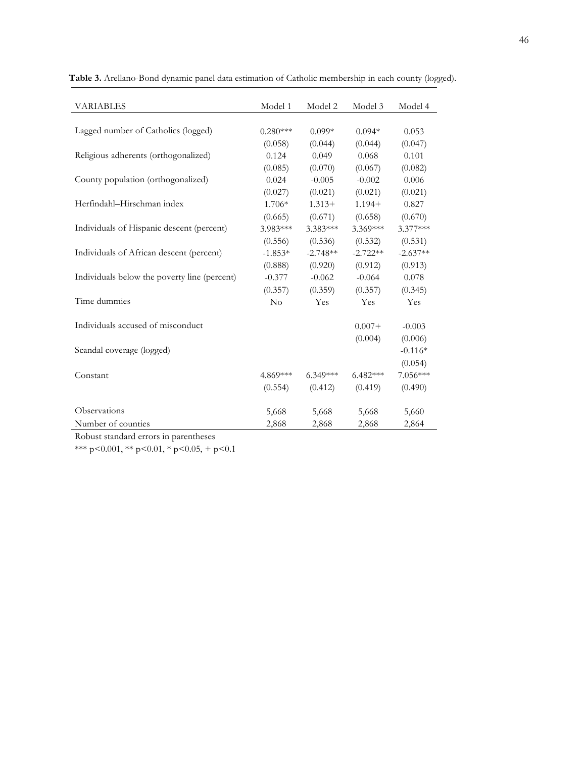| <b>VARIABLES</b>                             | Model 1    | Model 2    | Model 3    | Model 4    |
|----------------------------------------------|------------|------------|------------|------------|
|                                              |            |            |            |            |
| Lagged number of Catholics (logged)          | $0.280***$ | $0.099*$   | $0.094*$   | 0.053      |
|                                              | (0.058)    | (0.044)    | (0.044)    | (0.047)    |
| Religious adherents (orthogonalized)         | 0.124      | 0.049      | 0.068      | 0.101      |
|                                              | (0.085)    | (0.070)    | (0.067)    | (0.082)    |
| County population (orthogonalized)           | 0.024      | $-0.005$   | $-0.002$   | 0.006      |
|                                              | (0.027)    | (0.021)    | (0.021)    | (0.021)    |
| Herfindahl-Hirschman index                   | 1.706*     | $1.313+$   | $1.194+$   | 0.827      |
|                                              | (0.665)    | (0.671)    | (0.658)    | (0.670)    |
| Individuals of Hispanic descent (percent)    | 3.983***   | $3.383***$ | 3.369***   | $3.377***$ |
|                                              | (0.556)    | (0.536)    | (0.532)    | (0.531)    |
| Individuals of African descent (percent)     | $-1.853*$  | $-2.748**$ | $-2.722**$ | $-2.637**$ |
|                                              | (0.888)    | (0.920)    | (0.912)    | (0.913)    |
| Individuals below the poverty line (percent) | $-0.377$   | $-0.062$   | $-0.064$   | 0.078      |
|                                              | (0.357)    | (0.359)    | (0.357)    | (0.345)    |
| Time dummies                                 | No         | Yes        | Yes        | Yes        |
| Individuals accused of misconduct            |            |            | $0.007+$   | $-0.003$   |
|                                              |            |            | (0.004)    | (0.006)    |
| Scandal coverage (logged)                    |            |            |            | $-0.116*$  |
|                                              |            |            |            | (0.054)    |
| Constant                                     | 4.869***   | $6.349***$ | $6.482***$ | 7.056***   |
|                                              | (0.554)    | (0.412)    | (0.419)    | (0.490)    |
| Observations                                 | 5,668      | 5,668      | 5,668      | 5,660      |
| Number of counties                           | 2,868      | 2,868      | 2,868      | 2,864      |
|                                              |            |            |            |            |

**Table 3.** Arellano-Bond dynamic panel data estimation of Catholic membership in each county (logged).

Robust standard errors in parentheses

\*\*\* p<0.001, \*\* p<0.01, \* p<0.05, + p<0.1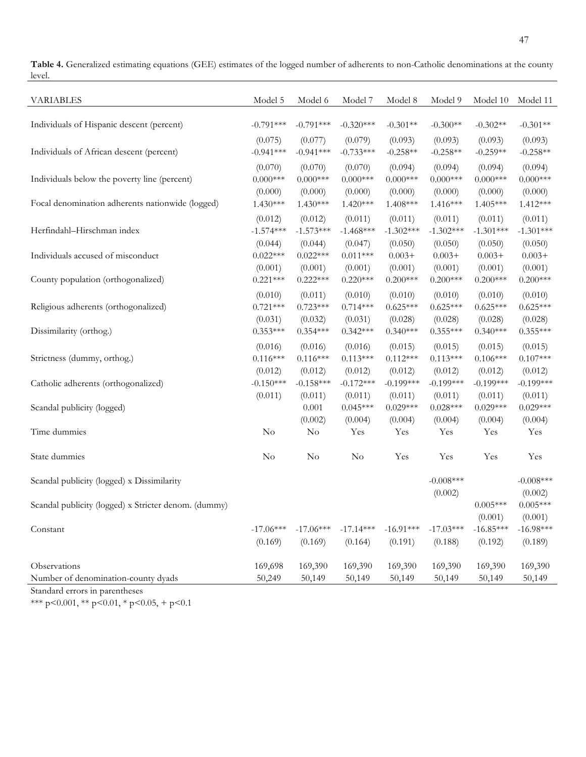| Table 4. Generalized estimating equations (GEE) estimates of the logged number of adherents to non-Catholic denominations at the county |  |
|-----------------------------------------------------------------------------------------------------------------------------------------|--|
| level.                                                                                                                                  |  |

| <b>VARIABLES</b>                                     | Model 5     | Model 6        | Model 7     | Model 8     | Model 9     | Model 10    | Model 11    |
|------------------------------------------------------|-------------|----------------|-------------|-------------|-------------|-------------|-------------|
| Individuals of Hispanic descent (percent)            | $-0.791***$ | $-0.791***$    | $-0.320***$ | $-0.301**$  | $-0.300**$  | $-0.302**$  | $-0.301**$  |
|                                                      | (0.075)     | (0.077)        | (0.079)     | (0.093)     | (0.093)     | (0.093)     | (0.093)     |
| Individuals of African descent (percent)             | $-0.941***$ | $-0.941***$    | $-0.733***$ | $-0.258**$  | $-0.258**$  | $-0.259**$  | $-0.258**$  |
|                                                      | (0.070)     | (0.070)        | (0.070)     | (0.094)     | (0.094)     | (0.094)     | (0.094)     |
| Individuals below the poverty line (percent)         | $0.000$ *** | $0.000$ ***    | $0.000***$  | $0.000***$  | $0.000***$  | $0.000***$  | $0.000***$  |
|                                                      | (0.000)     | (0.000)        | (0.000)     | (0.000)     | (0.000)     | (0.000)     | (0.000)     |
| Focal denomination adherents nationwide (logged)     | $1.430***$  | $1.430***$     | 1.420***    | 1.408***    | 1.416***    | $1.405***$  | 1.412***    |
|                                                      | (0.012)     | (0.012)        | (0.011)     | (0.011)     | (0.011)     | (0.011)     | (0.011)     |
| Herfindahl-Hirschman index                           | $-1.574***$ | $-1.573***$    | $-1.468***$ | $-1.302***$ | $-1.302***$ | $-1.301***$ | $-1.301***$ |
|                                                      | (0.044)     | (0.044)        | (0.047)     | (0.050)     | (0.050)     | (0.050)     | (0.050)     |
| Individuals accused of misconduct                    | $0.022***$  | $0.022***$     | $0.011***$  | $0.003+$    | $0.003+$    | $0.003+$    | $0.003+$    |
|                                                      | (0.001)     | (0.001)        | (0.001)     | (0.001)     | (0.001)     | (0.001)     | (0.001)     |
| County population (orthogonalized)                   | $0.221***$  | $0.222***$     | $0.220***$  | $0.200***$  | $0.200***$  | $0.200***$  | $0.200***$  |
|                                                      | (0.010)     | (0.011)        | (0.010)     | (0.010)     | (0.010)     | (0.010)     | (0.010)     |
| Religious adherents (orthogonalized)                 | $0.721***$  | $0.723***$     | $0.714***$  | $0.625***$  | $0.625***$  | $0.625***$  | $0.625***$  |
|                                                      | (0.031)     | (0.032)        | (0.031)     | (0.028)     | (0.028)     | (0.028)     | (0.028)     |
| Dissimilarity (orthog.)                              | $0.353***$  | $0.354***$     | $0.342***$  | $0.340***$  | $0.355***$  | $0.340***$  | $0.355***$  |
|                                                      | (0.016)     | (0.016)        | (0.016)     | (0.015)     | (0.015)     | (0.015)     | (0.015)     |
| Strictness (dummy, orthog.)                          | $0.116***$  | $0.116***$     | $0.113***$  | $0.112***$  | $0.113***$  | $0.106***$  | $0.107***$  |
|                                                      | (0.012)     | (0.012)        | (0.012)     | (0.012)     | (0.012)     | (0.012)     | (0.012)     |
| Catholic adherents (orthogonalized)                  | $-0.150***$ | $-0.158***$    | $-0.172***$ | $-0.199***$ | $-0.199***$ | $-0.199***$ | $-0.199***$ |
|                                                      | (0.011)     | (0.011)        | (0.011)     | (0.011)     | (0.011)     | (0.011)     | (0.011)     |
| Scandal publicity (logged)                           |             | 0.001          | $0.045***$  | $0.029***$  | $0.028***$  | $0.029***$  | $0.029***$  |
|                                                      |             | (0.002)        | (0.004)     | (0.004)     | (0.004)     | (0.004)     | (0.004)     |
| Time dummies                                         | $\rm No$    | N <sub>0</sub> | Yes         | Yes         | Yes         | Yes         | Yes         |
| State dummies                                        | $\rm No$    | No             | No          | Yes         | Yes         | Yes         | Yes         |
| Scandal publicity (logged) x Dissimilarity           |             |                |             |             | $-0.008***$ |             | $-0.008***$ |
|                                                      |             |                |             |             | (0.002)     |             | (0.002)     |
| Scandal publicity (logged) x Stricter denom. (dummy) |             |                |             |             |             | $0.005***$  | $0.005***$  |
|                                                      |             |                |             |             |             | (0.001)     | (0.001)     |
| Constant                                             | $-17.06***$ | $-17.06***$    | $-17.14***$ | $-16.91***$ | $-17.03***$ | $-16.85***$ | $-16.98***$ |
|                                                      | (0.169)     | (0.169)        | (0.164)     | (0.191)     | (0.188)     | (0.192)     | (0.189)     |
| Observations                                         | 169,698     | 169,390        | 169,390     | 169,390     | 169,390     | 169,390     | 169,390     |
| Number of denomination-county dyads                  | 50,249      | 50,149         | 50,149      | 50,149      | 50,149      | 50,149      | 50,149      |
|                                                      |             |                |             |             |             |             |             |

Standard errors in parentheses \*\*\* p<0.001, \*\* p<0.01, \* p<0.05, + p<0.1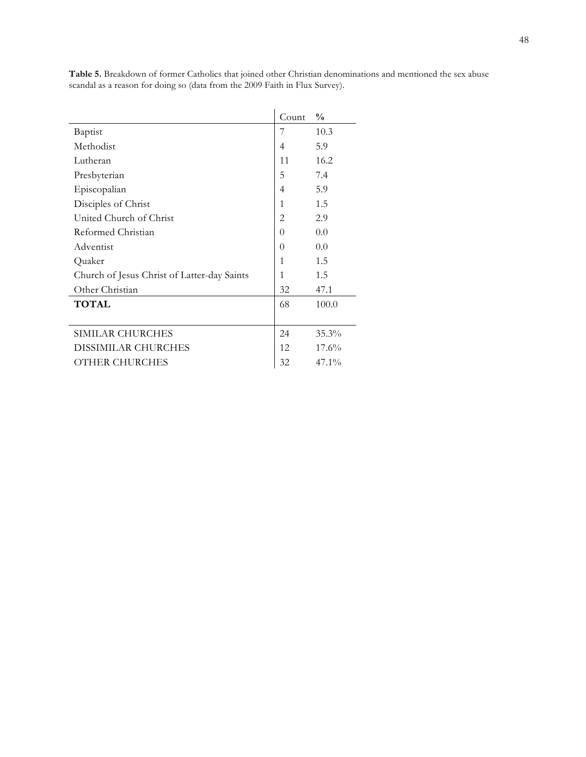|                                             | Count | $\frac{0}{0}$ |
|---------------------------------------------|-------|---------------|
| Baptist                                     | 7     | 10.3          |
| Methodist                                   | 4     | 5.9           |
| Lutheran                                    | 11    | 16.2          |
| Presbyterian                                | 5     | 7.4           |
| Episcopalian                                | 4     | 5.9           |
| Disciples of Christ                         | 1     | 1.5           |
| United Church of Christ                     | 2     | 2.9           |
| Reformed Christian                          | 0     | 0.0           |
| Adventist                                   | 0     | 0.0           |
| Quaker                                      | 1     | 1.5           |
| Church of Jesus Christ of Latter-day Saints | 1     | 1.5           |
| Other Christian                             | 32    | 47.1          |
| <b>TOTAL</b>                                | 68    | 100.0         |
|                                             |       |               |
| SIMILAR CHURCHES                            | 24    | 35.3%         |
| DISSIMILAR CHURCHES                         | 12    | 17.6%         |
| OTHER CHURCHES                              | 32    | $47.1\%$      |

**Table 5.** Breakdown of former Catholics that joined other Christian denominations and mentioned the sex abuse scandal as a reason for doing so (data from the 2009 Faith in Flux Survey).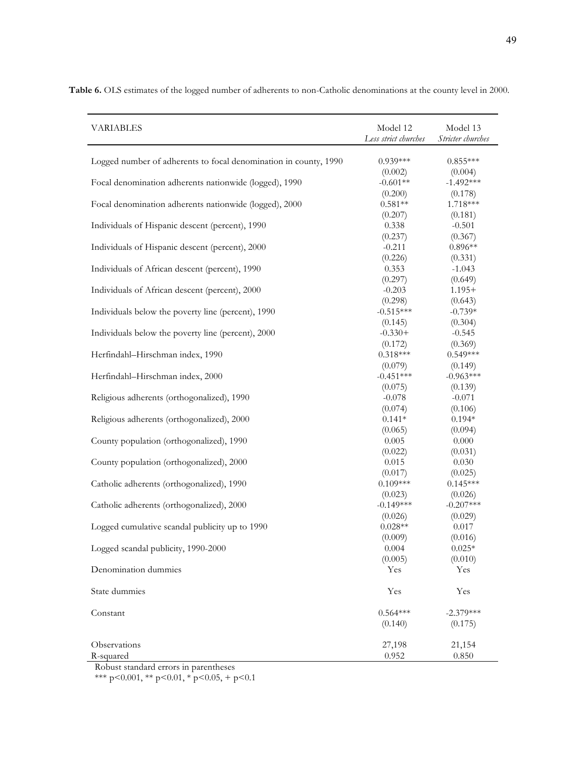| <b>VARIABLES</b>                                                 | Model 12<br>Less strict churches | Model 13<br>Stricter churches |
|------------------------------------------------------------------|----------------------------------|-------------------------------|
| Logged number of adherents to focal denomination in county, 1990 | $0.939***$                       | $0.855***$                    |
|                                                                  | (0.002)                          | (0.004)                       |
| Focal denomination adherents nationwide (logged), 1990           | $-0.601**$                       | $-1.492***$                   |
|                                                                  | (0.200)                          | (0.178)                       |
| Focal denomination adherents nationwide (logged), 2000           | $0.581**$                        | 1.718***                      |
|                                                                  | (0.207)                          | (0.181)                       |
| Individuals of Hispanic descent (percent), 1990                  | 0.338                            | $-0.501$                      |
|                                                                  | (0.237)                          | (0.367)                       |
| Individuals of Hispanic descent (percent), 2000                  | $-0.211$                         | $0.896**$                     |
|                                                                  | (0.226)                          | (0.331)                       |
| Individuals of African descent (percent), 1990                   | 0.353                            | $-1.043$                      |
|                                                                  | (0.297)                          | (0.649)                       |
| Individuals of African descent (percent), 2000                   | $-0.203$                         | $1.195+$                      |
|                                                                  | (0.298)                          | (0.643)                       |
| Individuals below the poverty line (percent), 1990               | $-0.515***$                      | $-0.739*$                     |
|                                                                  | (0.145)                          | (0.304)                       |
| Individuals below the poverty line (percent), 2000               | $-0.330+$                        | $-0.545$                      |
|                                                                  | (0.172)                          | (0.369)                       |
| Herfindahl-Hirschman index, 1990                                 | $0.318***$                       | $0.549***$                    |
|                                                                  | (0.079)                          | (0.149)                       |
| Herfindahl-Hirschman index, 2000                                 | $-0.451***$                      | $-0.963***$                   |
|                                                                  | (0.075)                          | (0.139)                       |
| Religious adherents (orthogonalized), 1990                       | $-0.078$                         | $-0.071$                      |
|                                                                  | (0.074)                          | (0.106)                       |
| Religious adherents (orthogonalized), 2000                       | $0.141*$                         | $0.194*$                      |
|                                                                  | (0.065)                          | (0.094)                       |
| County population (orthogonalized), 1990                         | 0.005                            | 0.000                         |
|                                                                  | (0.022)                          | (0.031)                       |
| County population (orthogonalized), 2000                         | 0.015                            | 0.030                         |
|                                                                  | (0.017)                          | (0.025)                       |
| Catholic adherents (orthogonalized), 1990                        | $0.109***$                       | $0.145***$                    |
|                                                                  | (0.023)<br>$-0.149***$           | (0.026)<br>$-0.207***$        |
| Catholic adherents (orthogonalized), 2000                        |                                  |                               |
| Logged cumulative scandal publicity up to 1990                   | (0.026)<br>$0.028**$             | (0.029)<br>0.017              |
|                                                                  | (0.009)                          | (0.016)                       |
| Logged scandal publicity, 1990-2000                              | 0.004                            | $0.025*$                      |
|                                                                  | (0.005)                          | (0.010)                       |
| Denomination dummies                                             | Yes                              | Yes                           |
| State dummies                                                    | Yes                              | Yes                           |
|                                                                  |                                  |                               |
| Constant                                                         | $0.564***$                       | $-2.379***$                   |
|                                                                  | (0.140)                          | (0.175)                       |
| Observations                                                     | 27,198                           | 21,154                        |
| R-squared                                                        | 0.952                            | 0.850                         |

**Table 6.** OLS estimates of the logged number of adherents to non-Catholic denominations at the county level in 2000.

Robust standard errors in parentheses

\*\*\* p<0.001, \*\* p<0.01,  $*$  p<0.05, + p<0.1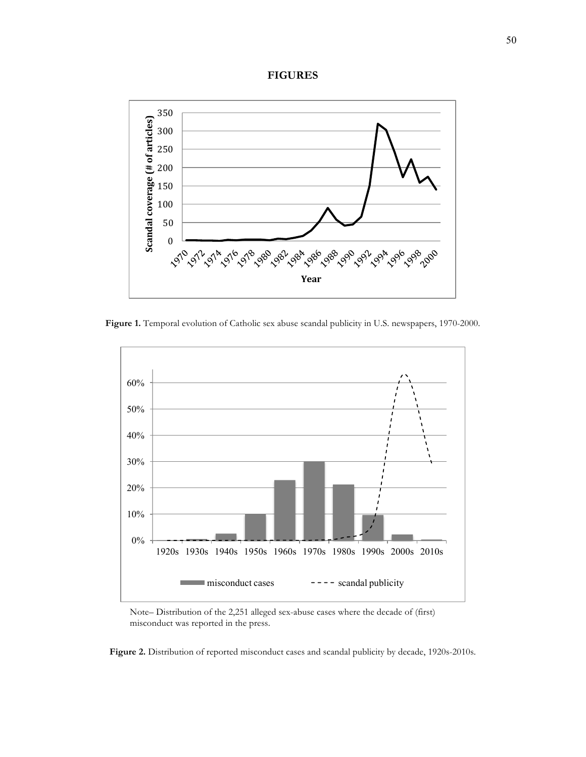## **FIGURES**



**Figure 1.** Temporal evolution of Catholic sex abuse scandal publicity in U.S. newspapers, 1970-2000.



Note– Distribution of the 2,251 alleged sex-abuse cases where the decade of (first) misconduct was reported in the press.

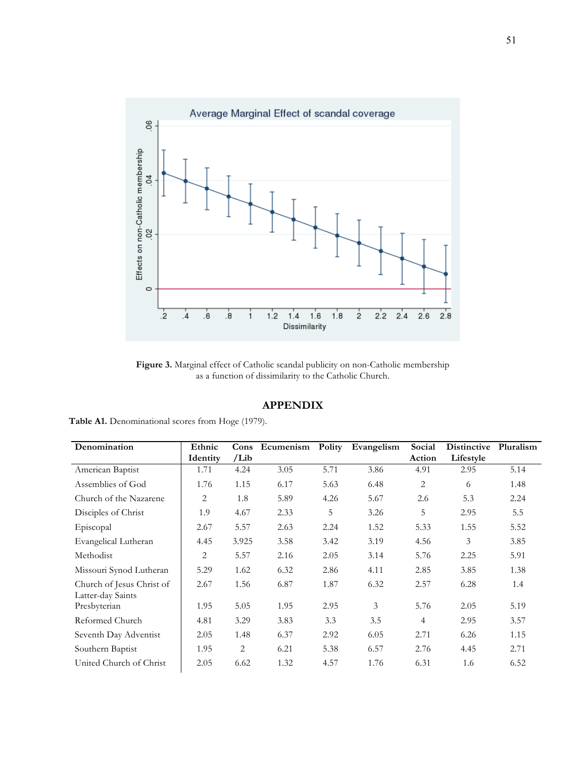

**Figure 3.** Marginal effect of Catholic scandal publicity on non-Catholic membership as a function of dissimilarity to the Catholic Church.

# **APPENDIX**

| Denomination                                   | Ethnic<br>Identity | Cons<br>/Lib   | Ecumenism | Polity | Evangelism | Social<br>Action | <b>Distinctive</b><br>Lifestyle | Pluralism |
|------------------------------------------------|--------------------|----------------|-----------|--------|------------|------------------|---------------------------------|-----------|
| American Baptist                               | 1.71               | 4.24           | 3.05      | 5.71   | 3.86       | 4.91             | 2.95                            | 5.14      |
| Assemblies of God                              | 1.76               | 1.15           | 6.17      | 5.63   | 6.48       | $\overline{2}$   | 6                               | 1.48      |
| Church of the Nazarene                         | 2                  | 1.8            | 5.89      | 4.26   | 5.67       | 2.6              | 5.3                             | 2.24      |
| Disciples of Christ                            | 1.9                | 4.67           | 2.33      | 5      | 3.26       | 5                | 2.95                            | 5.5       |
| Episcopal                                      | 2.67               | 5.57           | 2.63      | 2.24   | 1.52       | 5.33             | 1.55                            | 5.52      |
| Evangelical Lutheran                           | 4.45               | 3.925          | 3.58      | 3.42   | 3.19       | 4.56             | 3                               | 3.85      |
| Methodist                                      | 2                  | 5.57           | 2.16      | 2.05   | 3.14       | 5.76             | 2.25                            | 5.91      |
| Missouri Synod Lutheran                        | 5.29               | 1.62           | 6.32      | 2.86   | 4.11       | 2.85             | 3.85                            | 1.38      |
| Church of Jesus Christ of<br>Latter-day Saints | 2.67               | 1.56           | 6.87      | 1.87   | 6.32       | 2.57             | 6.28                            | 1.4       |
| Presbyterian                                   | 1.95               | 5.05           | 1.95      | 2.95   | 3          | 5.76             | 2.05                            | 5.19      |
| Reformed Church                                | 4.81               | 3.29           | 3.83      | 3.3    | 3.5        | 4                | 2.95                            | 3.57      |
| Seventh Day Adventist                          | 2.05               | 1.48           | 6.37      | 2.92   | 6.05       | 2.71             | 6.26                            | 1.15      |
| Southern Baptist                               | 1.95               | $\overline{2}$ | 6.21      | 5.38   | 6.57       | 2.76             | 4.45                            | 2.71      |
| United Church of Christ                        | 2.05               | 6.62           | 1.32      | 4.57   | 1.76       | 6.31             | 1.6                             | 6.52      |

**Table A1.** Denominational scores from Hoge (1979).